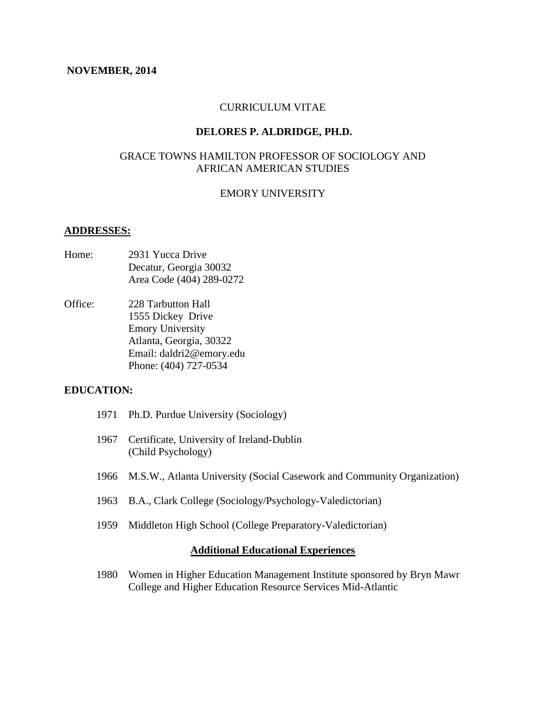#### **NOVEMBER, 2014**

## CURRICULUM VITAE

## **DELORES P. ALDRIDGE, PH.D.**

## GRACE TOWNS HAMILTON PROFESSOR OF SOCIOLOGY AND AFRICAN AMERICAN STUDIES

## EMORY UNIVERSITY

#### **ADDRESSES:**

- Home: 2931 Yucca Drive Decatur, Georgia 30032 Area Code (404) 289-0272
- Office: 228 Tarbutton Hall 1555 Dickey Drive Emory University Atlanta, Georgia, 30322 Email: daldri2@emory.edu Phone: (404) 727-0534

## **EDUCATION:**

- 1971 Ph.D. Purdue University (Sociology)
- 1967 Certificate, University of Ireland-Dublin (Child Psychology)
- 1966 M.S.W., Atlanta University (Social Casework and Community Organization)
- 1963 B.A., Clark College (Sociology/Psychology-Valedictorian)
- 1959 Middleton High School (College Preparatory-Valedictorian)

#### **Additional Educational Experiences**

1980 Women in Higher Education Management Institute sponsored by Bryn Mawr College and Higher Education Resource Services Mid-Atlantic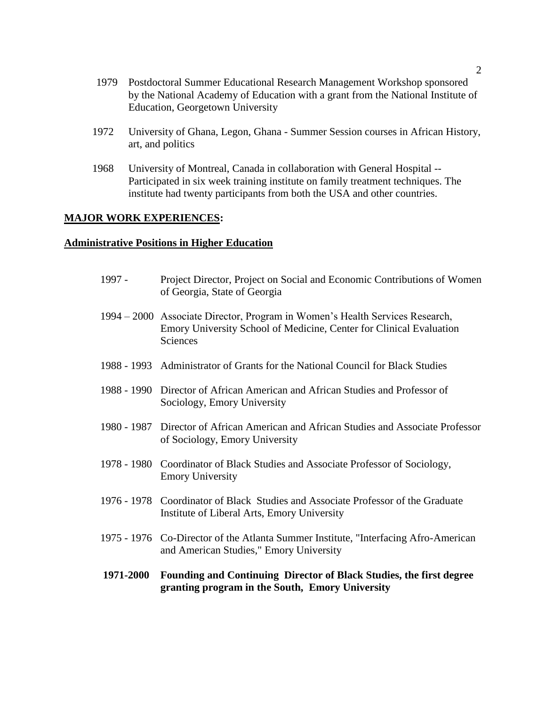- 1979 Postdoctoral Summer Educational Research Management Workshop sponsored by the National Academy of Education with a grant from the National Institute of Education, Georgetown University
- 1972 University of Ghana, Legon, Ghana Summer Session courses in African History, art, and politics
- 1968 University of Montreal, Canada in collaboration with General Hospital -- Participated in six week training institute on family treatment techniques. The institute had twenty participants from both the USA and other countries.

## **MAJOR WORK EXPERIENCES:**

## **Administrative Positions in Higher Education**

| 1971-2000 | Founding and Continuing Director of Black Studies, the first degree<br>granting program in the South, Emory University                                          |
|-----------|-----------------------------------------------------------------------------------------------------------------------------------------------------------------|
|           | 1975 - 1976 Co-Director of the Atlanta Summer Institute, "Interfacing Afro-American<br>and American Studies," Emory University                                  |
|           | 1976 - 1978 Coordinator of Black Studies and Associate Professor of the Graduate<br>Institute of Liberal Arts, Emory University                                 |
|           | 1978 - 1980 Coordinator of Black Studies and Associate Professor of Sociology,<br><b>Emory University</b>                                                       |
|           | 1980 - 1987 Director of African American and African Studies and Associate Professor<br>of Sociology, Emory University                                          |
|           | 1988 - 1990 Director of African American and African Studies and Professor of<br>Sociology, Emory University                                                    |
|           | 1988 - 1993 Administrator of Grants for the National Council for Black Studies                                                                                  |
|           | 1994 – 2000 Associate Director, Program in Women's Health Services Research,<br>Emory University School of Medicine, Center for Clinical Evaluation<br>Sciences |
| 1997 -    | Project Director, Project on Social and Economic Contributions of Women<br>of Georgia, State of Georgia                                                         |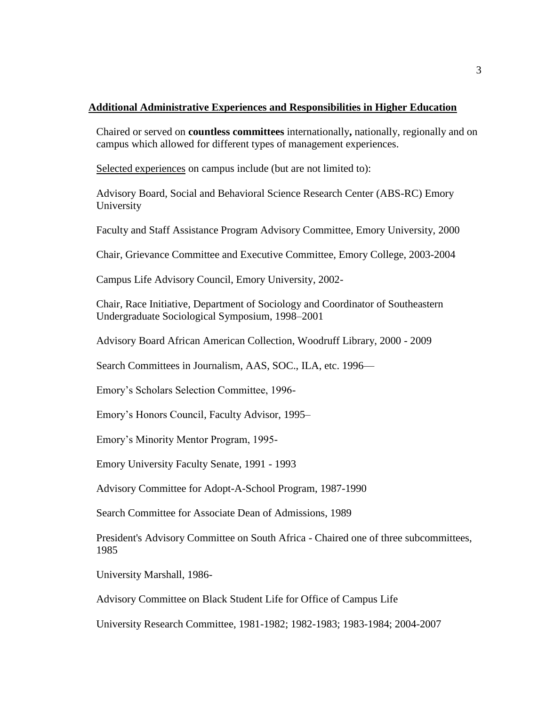## **Additional Administrative Experiences and Responsibilities in Higher Education**

Chaired or served on **countless committees** internationally**,** nationally, regionally and on campus which allowed for different types of management experiences.

Selected experiences on campus include (but are not limited to):

Advisory Board, Social and Behavioral Science Research Center (ABS-RC) Emory University

Faculty and Staff Assistance Program Advisory Committee, Emory University, 2000

Chair, Grievance Committee and Executive Committee, Emory College, 2003-2004

Campus Life Advisory Council, Emory University, 2002-

Chair, Race Initiative, Department of Sociology and Coordinator of Southeastern Undergraduate Sociological Symposium, 1998–2001

Advisory Board African American Collection, Woodruff Library, 2000 - 2009

Search Committees in Journalism, AAS, SOC., ILA, etc. 1996—

Emory's Scholars Selection Committee, 1996-

Emory's Honors Council, Faculty Advisor, 1995–

Emory's Minority Mentor Program, 1995-

Emory University Faculty Senate, 1991 - 1993

Advisory Committee for Adopt-A-School Program, 1987-1990

Search Committee for Associate Dean of Admissions, 1989

President's Advisory Committee on South Africa - Chaired one of three subcommittees, 1985

University Marshall, 1986-

Advisory Committee on Black Student Life for Office of Campus Life

University Research Committee, 1981-1982; 1982-1983; 1983-1984; 2004-2007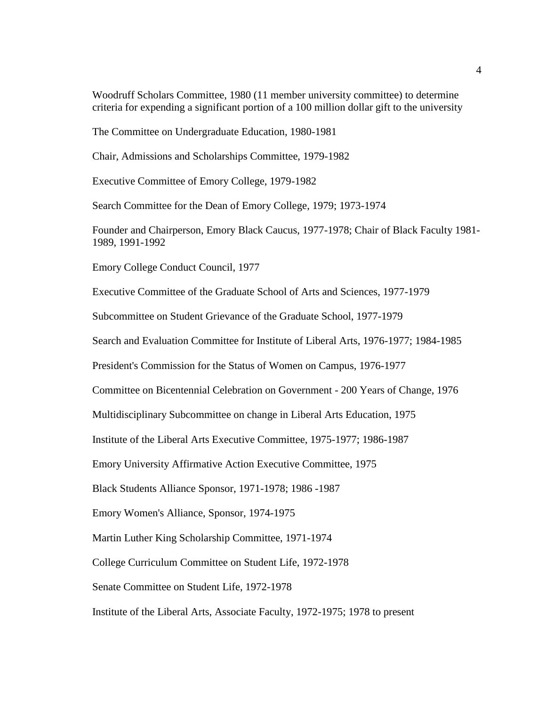Woodruff Scholars Committee, 1980 (11 member university committee) to determine criteria for expending a significant portion of a 100 million dollar gift to the university

The Committee on Undergraduate Education, 1980-1981

Chair, Admissions and Scholarships Committee, 1979-1982

Executive Committee of Emory College, 1979-1982

Search Committee for the Dean of Emory College, 1979; 1973-1974

Founder and Chairperson, Emory Black Caucus, 1977-1978; Chair of Black Faculty 1981- 1989, 1991-1992

Emory College Conduct Council, 1977

Executive Committee of the Graduate School of Arts and Sciences, 1977-1979

Subcommittee on Student Grievance of the Graduate School, 1977-1979

Search and Evaluation Committee for Institute of Liberal Arts, 1976-1977; 1984-1985

President's Commission for the Status of Women on Campus, 1976-1977

Committee on Bicentennial Celebration on Government - 200 Years of Change, 1976

Multidisciplinary Subcommittee on change in Liberal Arts Education, 1975

Institute of the Liberal Arts Executive Committee, 1975-1977; 1986-1987

Emory University Affirmative Action Executive Committee, 1975

Black Students Alliance Sponsor, 1971-1978; 1986 -1987

Emory Women's Alliance, Sponsor, 1974-1975

Martin Luther King Scholarship Committee, 1971-1974

College Curriculum Committee on Student Life, 1972-1978

Senate Committee on Student Life, 1972-1978

Institute of the Liberal Arts, Associate Faculty, 1972-1975; 1978 to present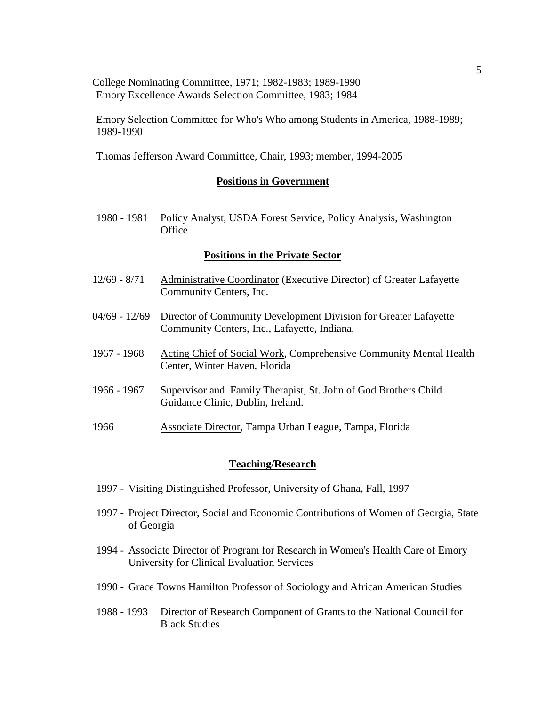College Nominating Committee, 1971; 1982-1983; 1989-1990 Emory Excellence Awards Selection Committee, 1983; 1984

Emory Selection Committee for Who's Who among Students in America, 1988-1989; 1989-1990

Thomas Jefferson Award Committee, Chair, 1993; member, 1994-2005

#### **Positions in Government**

1980 - 1981 Policy Analyst, USDA Forest Service, Policy Analysis, Washington **Office** 

#### **Positions in the Private Sector**

- 12/69 8/71 Administrative Coordinator (Executive Director) of Greater Lafayette Community Centers, Inc.
- 04/69 12/69 Director of Community Development Division for Greater Lafayette Community Centers, Inc., Lafayette, Indiana.
- 1967 1968 Acting Chief of Social Work, Comprehensive Community Mental Health Center, Winter Haven, Florida
- 1966 1967 Supervisor and Family Therapist, St. John of God Brothers Child Guidance Clinic, Dublin, Ireland.
- 1966 Associate Director, Tampa Urban League, Tampa, Florida

#### **Teaching/Research**

- 1997 Visiting Distinguished Professor, University of Ghana, Fall, 1997
- 1997 Project Director, Social and Economic Contributions of Women of Georgia, State of Georgia
- 1994 Associate Director of Program for Research in Women's Health Care of Emory University for Clinical Evaluation Services
- 1990 Grace Towns Hamilton Professor of Sociology and African American Studies
- 1988 1993 Director of Research Component of Grants to the National Council for Black Studies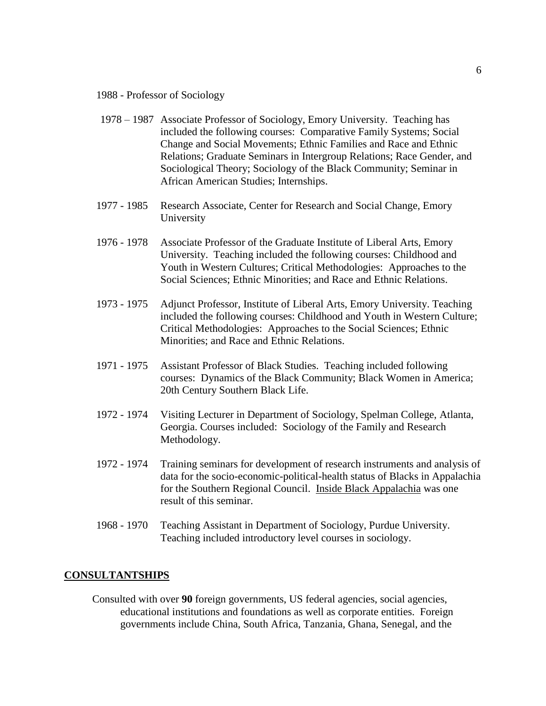1988 - Professor of Sociology

- 1978 1987 Associate Professor of Sociology, Emory University. Teaching has included the following courses: Comparative Family Systems; Social Change and Social Movements; Ethnic Families and Race and Ethnic Relations; Graduate Seminars in Intergroup Relations; Race Gender, and Sociological Theory; Sociology of the Black Community; Seminar in African American Studies; Internships.
- 1977 1985 Research Associate, Center for Research and Social Change, Emory University
- 1976 1978 Associate Professor of the Graduate Institute of Liberal Arts, Emory University. Teaching included the following courses: Childhood and Youth in Western Cultures; Critical Methodologies: Approaches to the Social Sciences; Ethnic Minorities; and Race and Ethnic Relations.
- 1973 1975 Adjunct Professor, Institute of Liberal Arts, Emory University. Teaching included the following courses: Childhood and Youth in Western Culture; Critical Methodologies: Approaches to the Social Sciences; Ethnic Minorities; and Race and Ethnic Relations.
- 1971 1975 Assistant Professor of Black Studies. Teaching included following courses: Dynamics of the Black Community; Black Women in America; 20th Century Southern Black Life.
- 1972 1974 Visiting Lecturer in Department of Sociology, Spelman College, Atlanta, Georgia. Courses included: Sociology of the Family and Research Methodology.
- 1972 1974 Training seminars for development of research instruments and analysis of data for the socio-economic-political-health status of Blacks in Appalachia for the Southern Regional Council. Inside Black Appalachia was one result of this seminar.
- 1968 1970 Teaching Assistant in Department of Sociology, Purdue University. Teaching included introductory level courses in sociology.

#### **CONSULTANTSHIPS**

Consulted with over **90** foreign governments, US federal agencies, social agencies, educational institutions and foundations as well as corporate entities. Foreign governments include China, South Africa, Tanzania, Ghana, Senegal, and the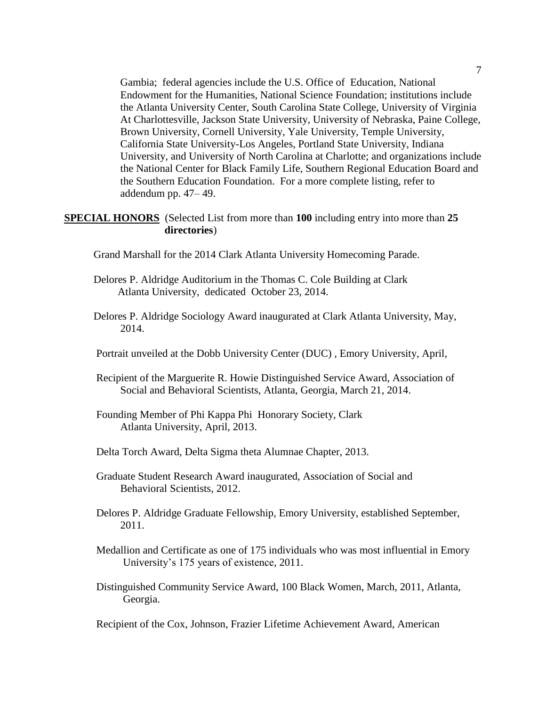Gambia; federal agencies include the U.S. Office of Education, National Endowment for the Humanities, National Science Foundation; institutions include the Atlanta University Center, South Carolina State College, University of Virginia At Charlottesville, Jackson State University, University of Nebraska, Paine College, Brown University, Cornell University, Yale University, Temple University, California State University-Los Angeles, Portland State University, Indiana University, and University of North Carolina at Charlotte; and organizations include the National Center for Black Family Life, Southern Regional Education Board and the Southern Education Foundation. For a more complete listing, refer to addendum pp. 47– 49.

## **SPECIAL HONORS** (Selected List from more than **100** including entry into more than **25 directories**)

- Grand Marshall for the 2014 Clark Atlanta University Homecoming Parade.
- Delores P. Aldridge Auditorium in the Thomas C. Cole Building at Clark Atlanta University, dedicated October 23, 2014.
- Delores P. Aldridge Sociology Award inaugurated at Clark Atlanta University, May, 2014.
- Portrait unveiled at the Dobb University Center (DUC) , Emory University, April,
- Recipient of the Marguerite R. Howie Distinguished Service Award, Association of Social and Behavioral Scientists, Atlanta, Georgia, March 21, 2014.
- Founding Member of Phi Kappa Phi Honorary Society, Clark Atlanta University, April, 2013.
- Delta Torch Award, Delta Sigma theta Alumnae Chapter, 2013.
- Graduate Student Research Award inaugurated, Association of Social and Behavioral Scientists, 2012.
- Delores P. Aldridge Graduate Fellowship, Emory University, established September, 2011.
- Medallion and Certificate as one of 175 individuals who was most influential in Emory University's 175 years of existence, 2011.
- Distinguished Community Service Award, 100 Black Women, March, 2011, Atlanta, Georgia.

Recipient of the Cox, Johnson, Frazier Lifetime Achievement Award, American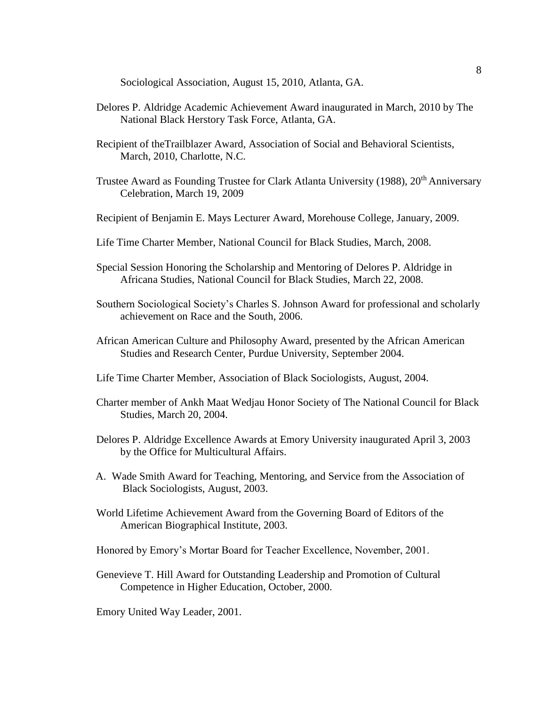Sociological Association, August 15, 2010, Atlanta, GA.

- Delores P. Aldridge Academic Achievement Award inaugurated in March, 2010 by The National Black Herstory Task Force, Atlanta, GA.
- Recipient of theTrailblazer Award, Association of Social and Behavioral Scientists, March, 2010, Charlotte, N.C.
- Trustee Award as Founding Trustee for Clark Atlanta University (1988), 20<sup>th</sup> Anniversary Celebration, March 19, 2009
- Recipient of Benjamin E. Mays Lecturer Award, Morehouse College, January, 2009.
- Life Time Charter Member, National Council for Black Studies, March, 2008.
- Special Session Honoring the Scholarship and Mentoring of Delores P. Aldridge in Africana Studies, National Council for Black Studies, March 22, 2008.
- Southern Sociological Society's Charles S. Johnson Award for professional and scholarly achievement on Race and the South, 2006.
- African American Culture and Philosophy Award, presented by the African American Studies and Research Center, Purdue University, September 2004.
- Life Time Charter Member, Association of Black Sociologists, August, 2004.
- Charter member of Ankh Maat Wedjau Honor Society of The National Council for Black Studies, March 20, 2004.
- Delores P. Aldridge Excellence Awards at Emory University inaugurated April 3, 2003 by the Office for Multicultural Affairs.
- A. Wade Smith Award for Teaching, Mentoring, and Service from the Association of Black Sociologists, August, 2003.
- World Lifetime Achievement Award from the Governing Board of Editors of the American Biographical Institute, 2003.

Honored by Emory's Mortar Board for Teacher Excellence, November, 2001.

Genevieve T. Hill Award for Outstanding Leadership and Promotion of Cultural Competence in Higher Education, October, 2000.

Emory United Way Leader, 2001.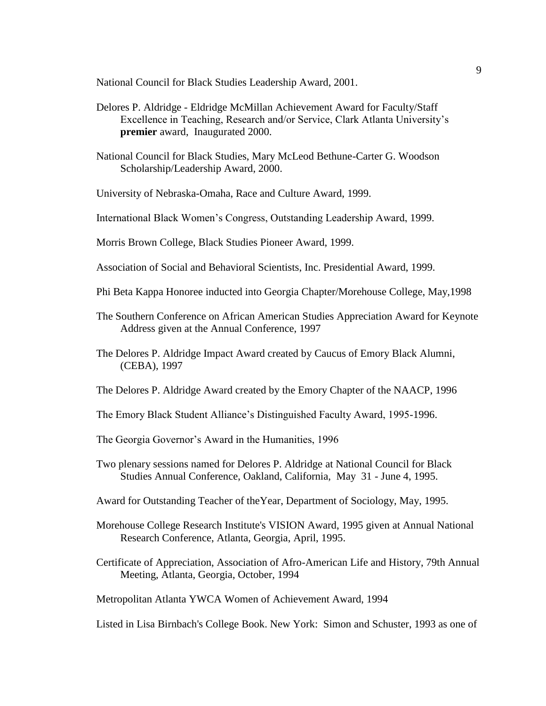National Council for Black Studies Leadership Award, 2001.

- Delores P. Aldridge Eldridge McMillan Achievement Award for Faculty/Staff Excellence in Teaching, Research and/or Service, Clark Atlanta University's **premier** award, Inaugurated 2000.
- National Council for Black Studies, Mary McLeod Bethune-Carter G. Woodson Scholarship/Leadership Award, 2000.

University of Nebraska-Omaha, Race and Culture Award, 1999.

International Black Women's Congress, Outstanding Leadership Award, 1999.

Morris Brown College, Black Studies Pioneer Award, 1999.

Association of Social and Behavioral Scientists, Inc. Presidential Award, 1999.

- Phi Beta Kappa Honoree inducted into Georgia Chapter/Morehouse College, May,1998
- The Southern Conference on African American Studies Appreciation Award for Keynote Address given at the Annual Conference, 1997
- The Delores P. Aldridge Impact Award created by Caucus of Emory Black Alumni, (CEBA), 1997
- The Delores P. Aldridge Award created by the Emory Chapter of the NAACP, 1996
- The Emory Black Student Alliance's Distinguished Faculty Award, 1995-1996.
- The Georgia Governor's Award in the Humanities, 1996
- Two plenary sessions named for Delores P. Aldridge at National Council for Black Studies Annual Conference, Oakland, California, May 31 - June 4, 1995.
- Award for Outstanding Teacher of theYear, Department of Sociology, May, 1995.
- Morehouse College Research Institute's VISION Award, 1995 given at Annual National Research Conference, Atlanta, Georgia, April, 1995.
- Certificate of Appreciation, Association of Afro-American Life and History, 79th Annual Meeting, Atlanta, Georgia, October, 1994

Metropolitan Atlanta YWCA Women of Achievement Award, 1994

Listed in Lisa Birnbach's College Book. New York: Simon and Schuster, 1993 as one of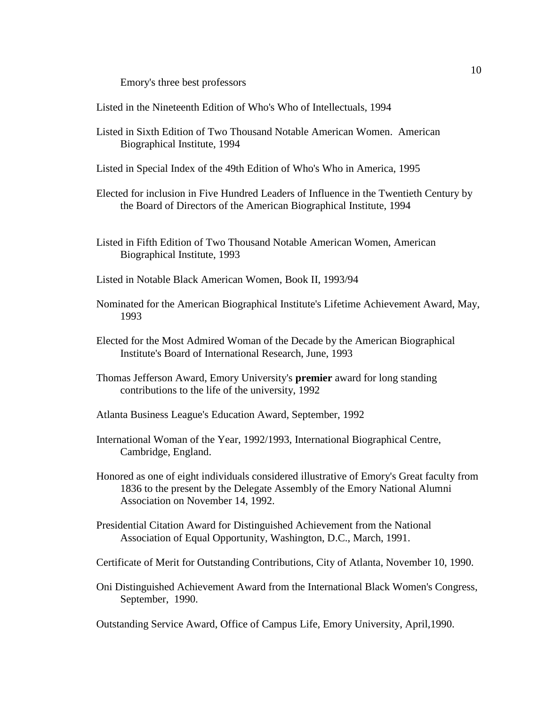Emory's three best professors

Listed in the Nineteenth Edition of Who's Who of Intellectuals, 1994

- Listed in Sixth Edition of Two Thousand Notable American Women. American Biographical Institute, 1994
- Listed in Special Index of the 49th Edition of Who's Who in America, 1995
- Elected for inclusion in Five Hundred Leaders of Influence in the Twentieth Century by the Board of Directors of the American Biographical Institute, 1994
- Listed in Fifth Edition of Two Thousand Notable American Women, American Biographical Institute, 1993
- Listed in Notable Black American Women, Book II, 1993/94
- Nominated for the American Biographical Institute's Lifetime Achievement Award, May, 1993
- Elected for the Most Admired Woman of the Decade by the American Biographical Institute's Board of International Research, June, 1993
- Thomas Jefferson Award, Emory University's **premier** award for long standing contributions to the life of the university, 1992
- Atlanta Business League's Education Award, September, 1992
- International Woman of the Year, 1992/1993, International Biographical Centre, Cambridge, England.
- Honored as one of eight individuals considered illustrative of Emory's Great faculty from 1836 to the present by the Delegate Assembly of the Emory National Alumni Association on November 14, 1992.
- Presidential Citation Award for Distinguished Achievement from the National Association of Equal Opportunity, Washington, D.C., March, 1991.
- Certificate of Merit for Outstanding Contributions, City of Atlanta, November 10, 1990.
- Oni Distinguished Achievement Award from the International Black Women's Congress, September, 1990.

Outstanding Service Award, Office of Campus Life, Emory University, April,1990.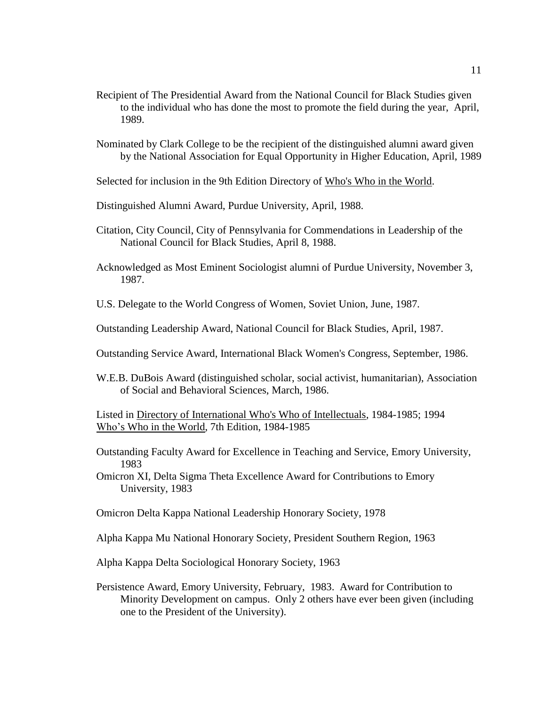- Recipient of The Presidential Award from the National Council for Black Studies given to the individual who has done the most to promote the field during the year, April, 1989.
- Nominated by Clark College to be the recipient of the distinguished alumni award given by the National Association for Equal Opportunity in Higher Education, April, 1989
- Selected for inclusion in the 9th Edition Directory of Who's Who in the World.
- Distinguished Alumni Award, Purdue University, April, 1988.
- Citation, City Council, City of Pennsylvania for Commendations in Leadership of the National Council for Black Studies, April 8, 1988.
- Acknowledged as Most Eminent Sociologist alumni of Purdue University, November 3, 1987.
- U.S. Delegate to the World Congress of Women, Soviet Union, June, 1987.
- Outstanding Leadership Award, National Council for Black Studies, April, 1987.
- Outstanding Service Award, International Black Women's Congress, September, 1986.
- W.E.B. DuBois Award (distinguished scholar, social activist, humanitarian), Association of Social and Behavioral Sciences, March, 1986.

Listed in Directory of International Who's Who of Intellectuals, 1984-1985; 1994 Who's Who in the World, 7th Edition, 1984-1985

Outstanding Faculty Award for Excellence in Teaching and Service, Emory University, 1983

Omicron XI, Delta Sigma Theta Excellence Award for Contributions to Emory University, 1983

Omicron Delta Kappa National Leadership Honorary Society, 1978

Alpha Kappa Mu National Honorary Society, President Southern Region, 1963

- Alpha Kappa Delta Sociological Honorary Society, 1963
- Persistence Award, Emory University, February, 1983. Award for Contribution to Minority Development on campus. Only 2 others have ever been given (including one to the President of the University).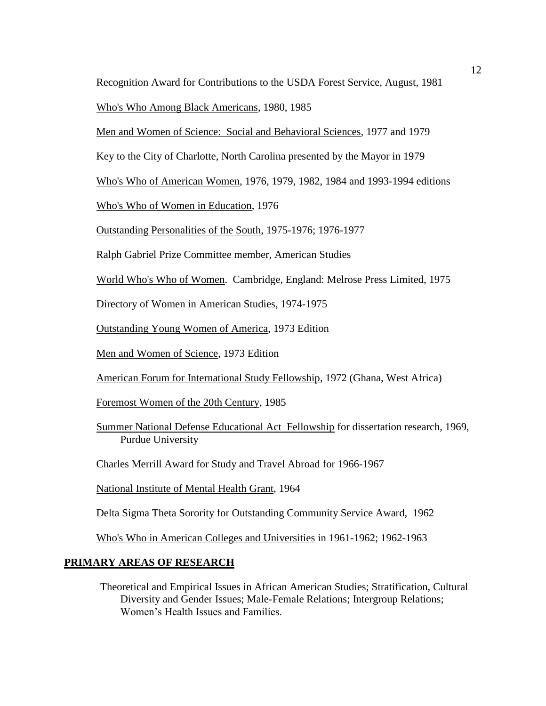Recognition Award for Contributions to the USDA Forest Service, August, 1981

Who's Who Among Black Americans, 1980, 1985

Men and Women of Science: Social and Behavioral Sciences, 1977 and 1979

Key to the City of Charlotte, North Carolina presented by the Mayor in 1979

Who's Who of American Women, 1976, 1979, 1982, 1984 and 1993-1994 editions

Who's Who of Women in Education, 1976

Outstanding Personalities of the South, 1975-1976; 1976-1977

Ralph Gabriel Prize Committee member, American Studies

World Who's Who of Women. Cambridge, England: Melrose Press Limited, 1975

Directory of Women in American Studies, 1974-1975

Outstanding Young Women of America, 1973 Edition

Men and Women of Science, 1973 Edition

American Forum for International Study Fellowship, 1972 (Ghana, West Africa)

Foremost Women of the 20th Century, 1985

Summer National Defense Educational Act Fellowship for dissertation research, 1969, Purdue University

Charles Merrill Award for Study and Travel Abroad for 1966-1967

National Institute of Mental Health Grant, 1964

Delta Sigma Theta Sorority for Outstanding Community Service Award, 1962

Who's Who in American Colleges and Universities in 1961-1962; 1962-1963

## **PRIMARY AREAS OF RESEARCH**

Theoretical and Empirical Issues in African American Studies; Stratification, Cultural Diversity and Gender Issues; Male-Female Relations; Intergroup Relations; Women's Health Issues and Families.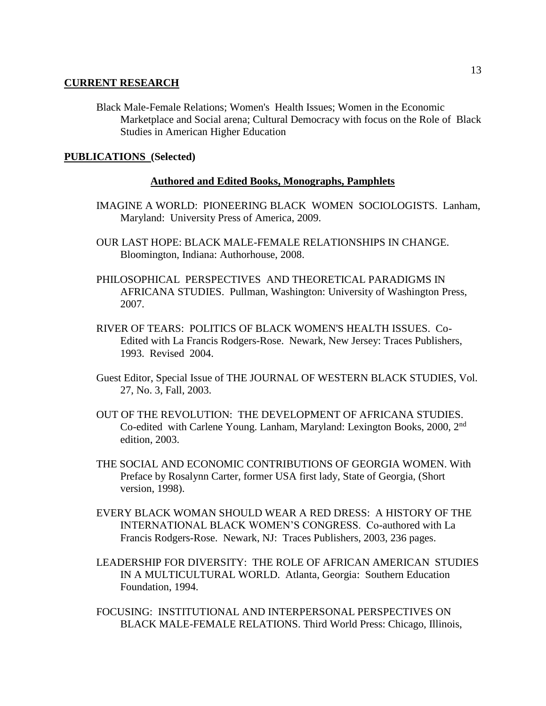#### **CURRENT RESEARCH**

Black Male-Female Relations; Women's Health Issues; Women in the Economic Marketplace and Social arena; Cultural Democracy with focus on the Role of Black Studies in American Higher Education

## **PUBLICATIONS (Selected)**

#### **Authored and Edited Books, Monographs, Pamphlets**

- IMAGINE A WORLD: PIONEERING BLACK WOMEN SOCIOLOGISTS. Lanham, Maryland: University Press of America, 2009.
- OUR LAST HOPE: BLACK MALE-FEMALE RELATIONSHIPS IN CHANGE. Bloomington, Indiana: Authorhouse, 2008.
- PHILOSOPHICAL PERSPECTIVES AND THEORETICAL PARADIGMS IN AFRICANA STUDIES. Pullman, Washington: University of Washington Press, 2007.
- RIVER OF TEARS: POLITICS OF BLACK WOMEN'S HEALTH ISSUES. Co-Edited with La Francis Rodgers-Rose. Newark, New Jersey: Traces Publishers, 1993. Revised 2004.
- Guest Editor, Special Issue of THE JOURNAL OF WESTERN BLACK STUDIES, Vol. 27, No. 3, Fall, 2003.
- OUT OF THE REVOLUTION: THE DEVELOPMENT OF AFRICANA STUDIES. Co-edited with Carlene Young. Lanham, Maryland: Lexington Books, 2000, 2nd edition, 2003.
- THE SOCIAL AND ECONOMIC CONTRIBUTIONS OF GEORGIA WOMEN. With Preface by Rosalynn Carter, former USA first lady, State of Georgia, (Short version, 1998).
- EVERY BLACK WOMAN SHOULD WEAR A RED DRESS: A HISTORY OF THE INTERNATIONAL BLACK WOMEN'S CONGRESS. Co-authored with La Francis Rodgers-Rose. Newark, NJ: Traces Publishers, 2003, 236 pages.
- LEADERSHIP FOR DIVERSITY: THE ROLE OF AFRICAN AMERICAN STUDIES IN A MULTICULTURAL WORLD. Atlanta, Georgia: Southern Education Foundation, 1994.
- FOCUSING: INSTITUTIONAL AND INTERPERSONAL PERSPECTIVES ON BLACK MALE-FEMALE RELATIONS. Third World Press: Chicago, Illinois,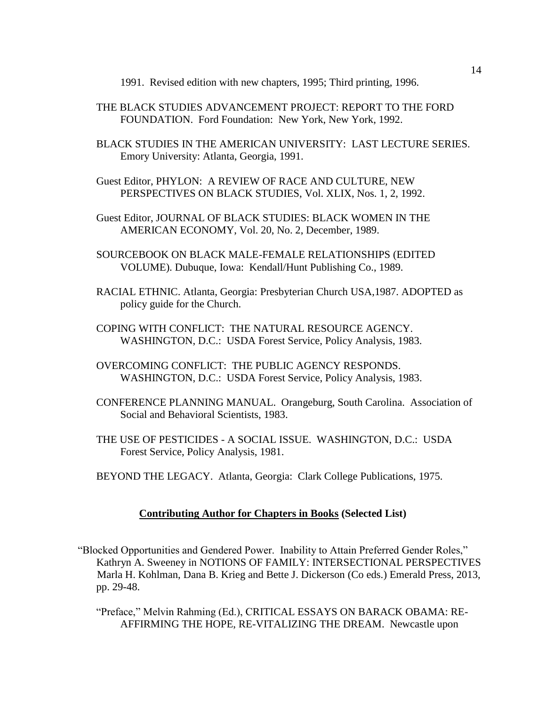1991. Revised edition with new chapters, 1995; Third printing, 1996.

- THE BLACK STUDIES ADVANCEMENT PROJECT: REPORT TO THE FORD FOUNDATION. Ford Foundation: New York, New York, 1992.
- BLACK STUDIES IN THE AMERICAN UNIVERSITY: LAST LECTURE SERIES. Emory University: Atlanta, Georgia, 1991.
- Guest Editor, PHYLON: A REVIEW OF RACE AND CULTURE, NEW PERSPECTIVES ON BLACK STUDIES, Vol. XLIX, Nos. 1, 2, 1992.
- Guest Editor, JOURNAL OF BLACK STUDIES: BLACK WOMEN IN THE AMERICAN ECONOMY, Vol. 20, No. 2, December, 1989.
- SOURCEBOOK ON BLACK MALE-FEMALE RELATIONSHIPS (EDITED VOLUME). Dubuque, Iowa: Kendall/Hunt Publishing Co., 1989.
- RACIAL ETHNIC. Atlanta, Georgia: Presbyterian Church USA,1987. ADOPTED as policy guide for the Church.
- COPING WITH CONFLICT: THE NATURAL RESOURCE AGENCY. WASHINGTON, D.C.: USDA Forest Service, Policy Analysis, 1983.
- OVERCOMING CONFLICT: THE PUBLIC AGENCY RESPONDS. WASHINGTON, D.C.: USDA Forest Service, Policy Analysis, 1983.
- CONFERENCE PLANNING MANUAL. Orangeburg, South Carolina. Association of Social and Behavioral Scientists, 1983.
- THE USE OF PESTICIDES A SOCIAL ISSUE. WASHINGTON, D.C.: USDA Forest Service, Policy Analysis, 1981.
- BEYOND THE LEGACY. Atlanta, Georgia: Clark College Publications, 1975.

#### **Contributing Author for Chapters in Books (Selected List)**

- "Blocked Opportunities and Gendered Power. Inability to Attain Preferred Gender Roles," Kathryn A. Sweeney in NOTIONS OF FAMILY: INTERSECTIONAL PERSPECTIVES Marla H. Kohlman, Dana B. Krieg and Bette J. Dickerson (Co eds.) Emerald Press, 2013, pp. 29-48.
	- "Preface," Melvin Rahming (Ed.), CRITICAL ESSAYS ON BARACK OBAMA: RE- AFFIRMING THE HOPE, RE-VITALIZING THE DREAM. Newcastle upon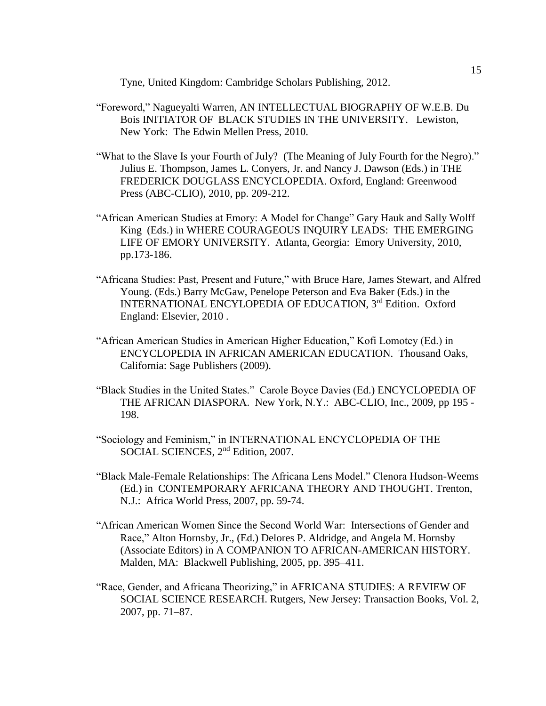Tyne, United Kingdom: Cambridge Scholars Publishing, 2012.

- "Foreword," Nagueyalti Warren, AN INTELLECTUAL BIOGRAPHY OF W.E.B. Du Bois INITIATOR OF BLACK STUDIES IN THE UNIVERSITY. Lewiston, New York: The Edwin Mellen Press, 2010.
- "What to the Slave Is your Fourth of July? (The Meaning of July Fourth for the Negro)." Julius E. Thompson, James L. Conyers, Jr. and Nancy J. Dawson (Eds.) in THE FREDERICK DOUGLASS ENCYCLOPEDIA. Oxford, England: Greenwood Press (ABC-CLIO), 2010, pp. 209-212.
- "African American Studies at Emory: A Model for Change" Gary Hauk and Sally Wolff King (Eds.) in WHERE COURAGEOUS INQUIRY LEADS: THE EMERGING LIFE OF EMORY UNIVERSITY. Atlanta, Georgia: Emory University, 2010, pp.173-186.
- "Africana Studies: Past, Present and Future," with Bruce Hare, James Stewart, and Alfred Young. (Eds.) Barry McGaw, Penelope Peterson and Eva Baker (Eds.) in the INTERNATIONAL ENCYLOPEDIA OF EDUCATION, 3rd Edition. Oxford England: Elsevier, 2010 .
- "African American Studies in American Higher Education," Kofi Lomotey (Ed.) in ENCYCLOPEDIA IN AFRICAN AMERICAN EDUCATION. Thousand Oaks, California: Sage Publishers (2009).
- "Black Studies in the United States." Carole Boyce Davies (Ed.) ENCYCLOPEDIA OF THE AFRICAN DIASPORA. New York, N.Y.: ABC-CLIO, Inc., 2009, pp 195 - 198.
- "Sociology and Feminism," in INTERNATIONAL ENCYCLOPEDIA OF THE SOCIAL SCIENCES, 2<sup>nd</sup> Edition, 2007.
- "Black Male-Female Relationships: The Africana Lens Model." Clenora Hudson-Weems (Ed.) in CONTEMPORARY AFRICANA THEORY AND THOUGHT. Trenton, N.J.: Africa World Press, 2007, pp. 59-74.
- "African American Women Since the Second World War: Intersections of Gender and Race," Alton Hornsby, Jr., (Ed.) Delores P. Aldridge, and Angela M. Hornsby (Associate Editors) in A COMPANION TO AFRICAN-AMERICAN HISTORY. Malden, MA: Blackwell Publishing, 2005, pp. 395–411.
- "Race, Gender, and Africana Theorizing," in AFRICANA STUDIES: A REVIEW OF SOCIAL SCIENCE RESEARCH. Rutgers, New Jersey: Transaction Books, Vol. 2, 2007, pp. 71–87.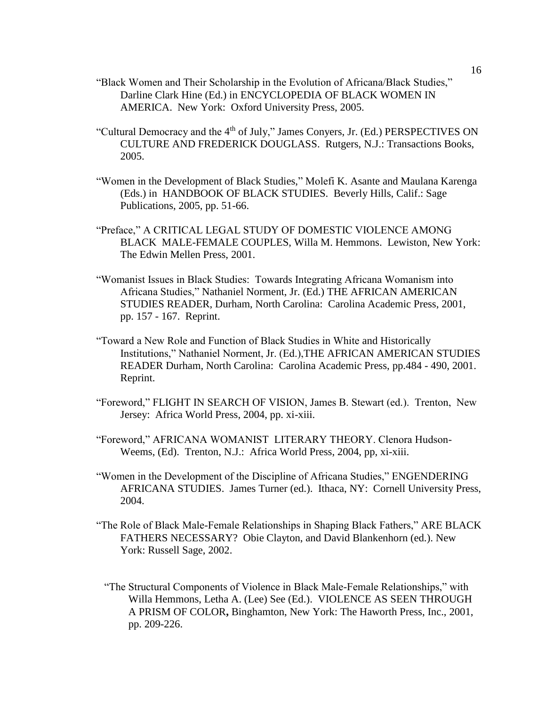- "Black Women and Their Scholarship in the Evolution of Africana/Black Studies," Darline Clark Hine (Ed.) in ENCYCLOPEDIA OF BLACK WOMEN IN AMERICA. New York: Oxford University Press, 2005.
- "Cultural Democracy and the 4<sup>th</sup> of July," James Conyers, Jr. (Ed.) PERSPECTIVES ON CULTURE AND FREDERICK DOUGLASS. Rutgers, N.J.: Transactions Books, 2005.
- "Women in the Development of Black Studies," Molefi K. Asante and Maulana Karenga (Eds.) in HANDBOOK OF BLACK STUDIES. Beverly Hills, Calif.: Sage Publications, 2005, pp. 51-66.
- "Preface," A CRITICAL LEGAL STUDY OF DOMESTIC VIOLENCE AMONG BLACK MALE-FEMALE COUPLES, Willa M. Hemmons. Lewiston, New York: The Edwin Mellen Press, 2001.
- "Womanist Issues in Black Studies: Towards Integrating Africana Womanism into Africana Studies," Nathaniel Norment, Jr. (Ed.) THE AFRICAN AMERICAN STUDIES READER, Durham, North Carolina: Carolina Academic Press, 2001, pp. 157 - 167. Reprint.
- "Toward a New Role and Function of Black Studies in White and Historically Institutions," Nathaniel Norment, Jr. (Ed.),THE AFRICAN AMERICAN STUDIES READER Durham, North Carolina: Carolina Academic Press, pp.484 - 490, 2001. Reprint.
- "Foreword," FLIGHT IN SEARCH OF VISION, James B. Stewart (ed.). Trenton, New Jersey: Africa World Press, 2004, pp. xi-xiii.
- "Foreword," AFRICANA WOMANIST LITERARY THEORY. Clenora Hudson-Weems, (Ed). Trenton, N.J.: Africa World Press, 2004, pp, xi-xiii.
- "Women in the Development of the Discipline of Africana Studies," ENGENDERING AFRICANA STUDIES. James Turner (ed.). Ithaca, NY: Cornell University Press, 2004.
- "The Role of Black Male-Female Relationships in Shaping Black Fathers," ARE BLACK FATHERS NECESSARY? Obie Clayton, and David Blankenhorn (ed.). New York: Russell Sage, 2002.
	- "The Structural Components of Violence in Black Male-Female Relationships," with Willa Hemmons, Letha A. (Lee) See (Ed.). VIOLENCE AS SEEN THROUGH A PRISM OF COLOR**,** Binghamton, New York: The Haworth Press, Inc., 2001, pp. 209-226.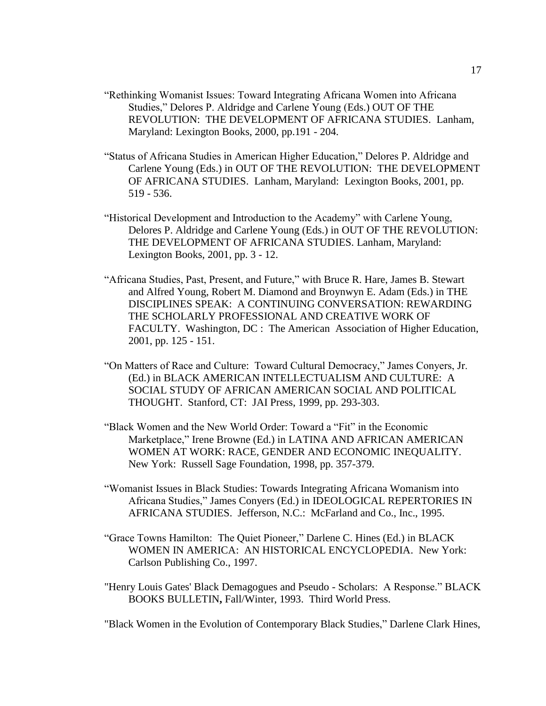- "Rethinking Womanist Issues: Toward Integrating Africana Women into Africana Studies," Delores P. Aldridge and Carlene Young (Eds.) OUT OF THE REVOLUTION: THE DEVELOPMENT OF AFRICANA STUDIES. Lanham, Maryland: Lexington Books, 2000, pp.191 - 204.
- "Status of Africana Studies in American Higher Education," Delores P. Aldridge and Carlene Young (Eds.) in OUT OF THE REVOLUTION: THE DEVELOPMENT OF AFRICANA STUDIES. Lanham, Maryland: Lexington Books, 2001, pp. 519 - 536.
- "Historical Development and Introduction to the Academy" with Carlene Young, Delores P. Aldridge and Carlene Young (Eds.) in OUT OF THE REVOLUTION: THE DEVELOPMENT OF AFRICANA STUDIES. Lanham, Maryland: Lexington Books, 2001, pp. 3 - 12.
- "Africana Studies, Past, Present, and Future," with Bruce R. Hare, James B. Stewart and Alfred Young, Robert M. Diamond and Broynwyn E. Adam (Eds.) in THE DISCIPLINES SPEAK: A CONTINUING CONVERSATION: REWARDING THE SCHOLARLY PROFESSIONAL AND CREATIVE WORK OF FACULTY. Washington, DC : The American Association of Higher Education, 2001, pp. 125 - 151.
- "On Matters of Race and Culture: Toward Cultural Democracy," James Conyers, Jr. (Ed.) in BLACK AMERICAN INTELLECTUALISM AND CULTURE: A SOCIAL STUDY OF AFRICAN AMERICAN SOCIAL AND POLITICAL THOUGHT. Stanford, CT: JAI Press, 1999, pp. 293-303.
- "Black Women and the New World Order: Toward a "Fit" in the Economic Marketplace," Irene Browne (Ed.) in LATINA AND AFRICAN AMERICAN WOMEN AT WORK: RACE, GENDER AND ECONOMIC INEQUALITY. New York: Russell Sage Foundation, 1998, pp. 357-379.
- "Womanist Issues in Black Studies: Towards Integrating Africana Womanism into Africana Studies," James Conyers (Ed.) in IDEOLOGICAL REPERTORIES IN AFRICANA STUDIES. Jefferson, N.C.: McFarland and Co., Inc., 1995.
- "Grace Towns Hamilton: The Quiet Pioneer," Darlene C. Hines (Ed.) in BLACK WOMEN IN AMERICA: AN HISTORICAL ENCYCLOPEDIA. New York: Carlson Publishing Co., 1997.
- "Henry Louis Gates' Black Demagogues and Pseudo Scholars: A Response." BLACK BOOKS BULLETIN**,** Fall/Winter, 1993. Third World Press.

"Black Women in the Evolution of Contemporary Black Studies," Darlene Clark Hines,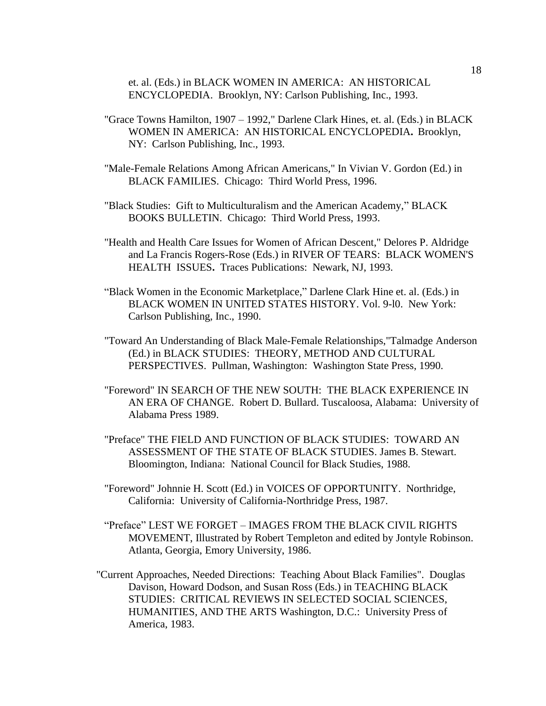et. al. (Eds.) in BLACK WOMEN IN AMERICA: AN HISTORICAL ENCYCLOPEDIA. Brooklyn, NY: Carlson Publishing, Inc., 1993.

- "Grace Towns Hamilton, 1907 1992," Darlene Clark Hines, et. al. (Eds.) in BLACK WOMEN IN AMERICA: AN HISTORICAL ENCYCLOPEDIA**.** Brooklyn, NY: Carlson Publishing, Inc., 1993.
- "Male-Female Relations Among African Americans," In Vivian V. Gordon (Ed.) in BLACK FAMILIES. Chicago: Third World Press, 1996.
- "Black Studies: Gift to Multiculturalism and the American Academy," BLACK BOOKS BULLETIN. Chicago: Third World Press, 1993.
- "Health and Health Care Issues for Women of African Descent," Delores P. Aldridge and La Francis Rogers-Rose (Eds.) in RIVER OF TEARS: BLACK WOMEN'S HEALTH ISSUES**.** Traces Publications: Newark, NJ, 1993.
- "Black Women in the Economic Marketplace," Darlene Clark Hine et. al. (Eds.) in BLACK WOMEN IN UNITED STATES HISTORY. Vol. 9-l0. New York: Carlson Publishing, Inc., 1990.
- "Toward An Understanding of Black Male-Female Relationships,"Talmadge Anderson (Ed.) in BLACK STUDIES: THEORY, METHOD AND CULTURAL PERSPECTIVES. Pullman, Washington: Washington State Press, 1990.
- "Foreword" IN SEARCH OF THE NEW SOUTH: THE BLACK EXPERIENCE IN AN ERA OF CHANGE. Robert D. Bullard. Tuscaloosa, Alabama: University of Alabama Press 1989.
- "Preface" THE FIELD AND FUNCTION OF BLACK STUDIES: TOWARD AN ASSESSMENT OF THE STATE OF BLACK STUDIES. James B. Stewart. Bloomington, Indiana: National Council for Black Studies, 1988.
- "Foreword" Johnnie H. Scott (Ed.) in VOICES OF OPPORTUNITY. Northridge, California: University of California-Northridge Press, 1987.
- "Preface" LEST WE FORGET IMAGES FROM THE BLACK CIVIL RIGHTS MOVEMENT, Illustrated by Robert Templeton and edited by Jontyle Robinson. Atlanta, Georgia, Emory University, 1986.
- "Current Approaches, Needed Directions: Teaching About Black Families". Douglas Davison, Howard Dodson, and Susan Ross (Eds.) in TEACHING BLACK STUDIES: CRITICAL REVIEWS IN SELECTED SOCIAL SCIENCES, HUMANITIES, AND THE ARTS Washington, D.C.: University Press of America, 1983.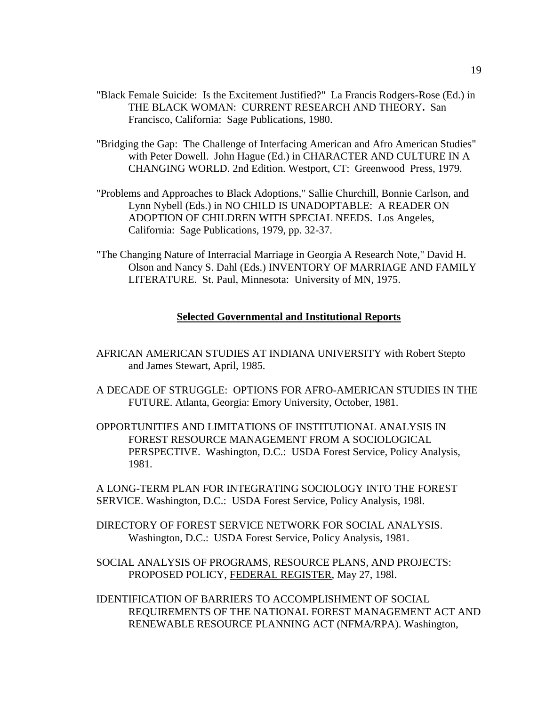- "Black Female Suicide: Is the Excitement Justified?" La Francis Rodgers-Rose (Ed.) in THE BLACK WOMAN: CURRENT RESEARCH AND THEORY**.** San Francisco, California: Sage Publications, 1980.
- "Bridging the Gap: The Challenge of Interfacing American and Afro American Studies" with Peter Dowell. John Hague (Ed.) in CHARACTER AND CULTURE IN A CHANGING WORLD. 2nd Edition. Westport, CT: Greenwood Press, 1979.
- "Problems and Approaches to Black Adoptions," Sallie Churchill, Bonnie Carlson, and Lynn Nybell (Eds.) in NO CHILD IS UNADOPTABLE: A READER ON ADOPTION OF CHILDREN WITH SPECIAL NEEDS. Los Angeles, California: Sage Publications, 1979, pp. 32-37.
- "The Changing Nature of Interracial Marriage in Georgia A Research Note," David H. Olson and Nancy S. Dahl (Eds.) INVENTORY OF MARRIAGE AND FAMILY LITERATURE. St. Paul, Minnesota: University of MN, 1975.

#### **Selected Governmental and Institutional Reports**

- AFRICAN AMERICAN STUDIES AT INDIANA UNIVERSITY with Robert Stepto and James Stewart, April, 1985.
- A DECADE OF STRUGGLE: OPTIONS FOR AFRO-AMERICAN STUDIES IN THE FUTURE. Atlanta, Georgia: Emory University, October, 1981.
- OPPORTUNITIES AND LIMITATIONS OF INSTITUTIONAL ANALYSIS IN FOREST RESOURCE MANAGEMENT FROM A SOCIOLOGICAL PERSPECTIVE. Washington, D.C.: USDA Forest Service, Policy Analysis, 1981.

A LONG-TERM PLAN FOR INTEGRATING SOCIOLOGY INTO THE FOREST SERVICE. Washington, D.C.: USDA Forest Service, Policy Analysis, 198l.

DIRECTORY OF FOREST SERVICE NETWORK FOR SOCIAL ANALYSIS. Washington, D.C.: USDA Forest Service, Policy Analysis, 1981.

SOCIAL ANALYSIS OF PROGRAMS, RESOURCE PLANS, AND PROJECTS: PROPOSED POLICY, FEDERAL REGISTER, May 27, 198l.

IDENTIFICATION OF BARRIERS TO ACCOMPLISHMENT OF SOCIAL REQUIREMENTS OF THE NATIONAL FOREST MANAGEMENT ACT AND RENEWABLE RESOURCE PLANNING ACT (NFMA/RPA). Washington,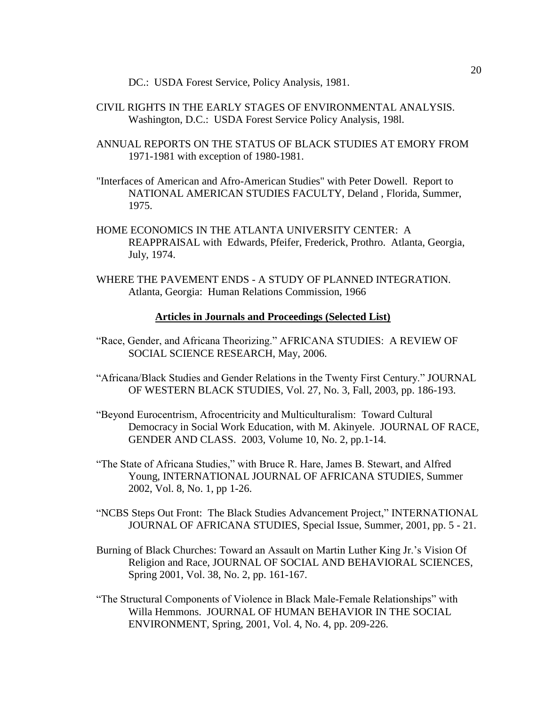DC.: USDA Forest Service, Policy Analysis, 1981.

- CIVIL RIGHTS IN THE EARLY STAGES OF ENVIRONMENTAL ANALYSIS. Washington, D.C.: USDA Forest Service Policy Analysis, 198l.
- ANNUAL REPORTS ON THE STATUS OF BLACK STUDIES AT EMORY FROM 1971-1981 with exception of 1980-1981.
- "Interfaces of American and Afro-American Studies" with Peter Dowell. Report to NATIONAL AMERICAN STUDIES FACULTY, Deland , Florida, Summer, 1975.
- HOME ECONOMICS IN THE ATLANTA UNIVERSITY CENTER: A REAPPRAISAL with Edwards, Pfeifer, Frederick, Prothro. Atlanta, Georgia, July, 1974.
- WHERE THE PAVEMENT ENDS A STUDY OF PLANNED INTEGRATION. Atlanta, Georgia: Human Relations Commission, 1966

#### **Articles in Journals and Proceedings (Selected List)**

- "Race, Gender, and Africana Theorizing." AFRICANA STUDIES: A REVIEW OF SOCIAL SCIENCE RESEARCH, May, 2006.
- "Africana/Black Studies and Gender Relations in the Twenty First Century." JOURNAL OF WESTERN BLACK STUDIES, Vol. 27, No. 3, Fall, 2003, pp. 186-193.
- "Beyond Eurocentrism, Afrocentricity and Multiculturalism: Toward Cultural Democracy in Social Work Education, with M. Akinyele. JOURNAL OF RACE, GENDER AND CLASS. 2003, Volume 10, No. 2, pp.1-14.
- "The State of Africana Studies," with Bruce R. Hare, James B. Stewart, and Alfred Young, INTERNATIONAL JOURNAL OF AFRICANA STUDIES, Summer 2002, Vol. 8, No. 1, pp 1-26.
- "NCBS Steps Out Front: The Black Studies Advancement Project," INTERNATIONAL JOURNAL OF AFRICANA STUDIES, Special Issue, Summer, 2001, pp. 5 - 21.
- Burning of Black Churches: Toward an Assault on Martin Luther King Jr.'s Vision Of Religion and Race, JOURNAL OF SOCIAL AND BEHAVIORAL SCIENCES, Spring 2001, Vol. 38, No. 2, pp. 161-167.
- "The Structural Components of Violence in Black Male-Female Relationships" with Willa Hemmons. JOURNAL OF HUMAN BEHAVIOR IN THE SOCIAL ENVIRONMENT, Spring, 2001, Vol. 4, No. 4, pp. 209-226.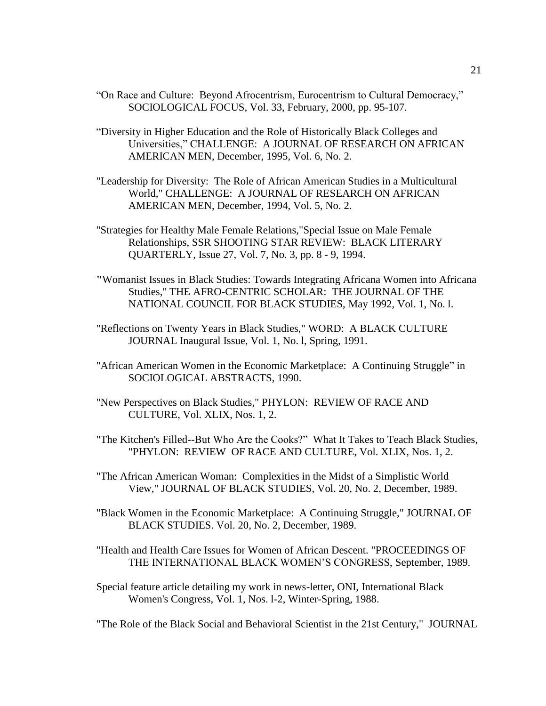- "On Race and Culture: Beyond Afrocentrism, Eurocentrism to Cultural Democracy," SOCIOLOGICAL FOCUS, Vol. 33, February, 2000, pp. 95-107.
- "Diversity in Higher Education and the Role of Historically Black Colleges and Universities," CHALLENGE: A JOURNAL OF RESEARCH ON AFRICAN AMERICAN MEN, December, 1995, Vol. 6, No. 2.
- "Leadership for Diversity: The Role of African American Studies in a Multicultural World," CHALLENGE: A JOURNAL OF RESEARCH ON AFRICAN AMERICAN MEN, December, 1994, Vol. 5, No. 2.
- "Strategies for Healthy Male Female Relations,"Special Issue on Male Female Relationships, SSR SHOOTING STAR REVIEW: BLACK LITERARY QUARTERLY, Issue 27, Vol. 7, No. 3, pp. 8 - 9, 1994.
- **"**Womanist Issues in Black Studies: Towards Integrating Africana Women into Africana Studies," THE AFRO-CENTRIC SCHOLAR: THE JOURNAL OF THE NATIONAL COUNCIL FOR BLACK STUDIES, May 1992, Vol. 1, No. l.
- "Reflections on Twenty Years in Black Studies," WORD: A BLACK CULTURE JOURNAL Inaugural Issue, Vol. 1, No. l, Spring, 1991.
- "African American Women in the Economic Marketplace: A Continuing Struggle" in SOCIOLOGICAL ABSTRACTS, 1990.
- "New Perspectives on Black Studies," PHYLON: REVIEW OF RACE AND CULTURE, Vol. XLIX, Nos. 1, 2.
- "The Kitchen's Filled--But Who Are the Cooks?" What It Takes to Teach Black Studies, "PHYLON: REVIEW OF RACE AND CULTURE, Vol. XLIX, Nos. 1, 2.
- "The African American Woman: Complexities in the Midst of a Simplistic World View," JOURNAL OF BLACK STUDIES, Vol. 20, No. 2, December, 1989.
- "Black Women in the Economic Marketplace: A Continuing Struggle," JOURNAL OF BLACK STUDIES. Vol. 20, No. 2, December, 1989.
- "Health and Health Care Issues for Women of African Descent. "PROCEEDINGS OF THE INTERNATIONAL BLACK WOMEN'S CONGRESS, September, 1989.
- Special feature article detailing my work in news-letter, ONI, International Black Women's Congress, Vol. 1, Nos. l-2, Winter-Spring, 1988.

"The Role of the Black Social and Behavioral Scientist in the 21st Century," JOURNAL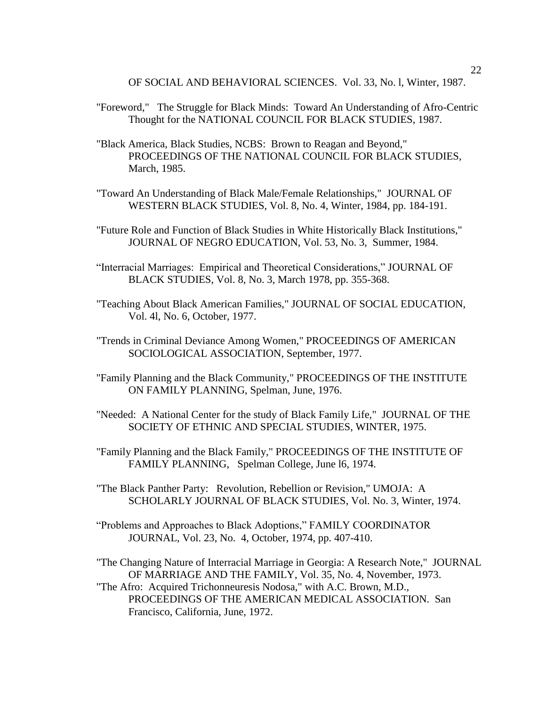OF SOCIAL AND BEHAVIORAL SCIENCES. Vol. 33, No. l, Winter, 1987.

- "Foreword," The Struggle for Black Minds: Toward An Understanding of Afro-Centric Thought for the NATIONAL COUNCIL FOR BLACK STUDIES, 1987.
- "Black America, Black Studies, NCBS: Brown to Reagan and Beyond," PROCEEDINGS OF THE NATIONAL COUNCIL FOR BLACK STUDIES, March, 1985.
- "Toward An Understanding of Black Male/Female Relationships," JOURNAL OF WESTERN BLACK STUDIES, Vol. 8, No. 4, Winter, 1984, pp. 184-191.
- "Future Role and Function of Black Studies in White Historically Black Institutions," JOURNAL OF NEGRO EDUCATION, Vol. 53, No. 3, Summer, 1984.
- "Interracial Marriages: Empirical and Theoretical Considerations," JOURNAL OF BLACK STUDIES, Vol. 8, No. 3, March 1978, pp. 355-368.
- "Teaching About Black American Families," JOURNAL OF SOCIAL EDUCATION, Vol. 4l, No. 6, October, 1977.
- "Trends in Criminal Deviance Among Women," PROCEEDINGS OF AMERICAN SOCIOLOGICAL ASSOCIATION, September, 1977.
- "Family Planning and the Black Community," PROCEEDINGS OF THE INSTITUTE ON FAMILY PLANNING, Spelman, June, 1976.
- "Needed: A National Center for the study of Black Family Life," JOURNAL OF THE SOCIETY OF ETHNIC AND SPECIAL STUDIES, WINTER, 1975.
- "Family Planning and the Black Family," PROCEEDINGS OF THE INSTITUTE OF FAMILY PLANNING, Spelman College, June l6, 1974.
- "The Black Panther Party: Revolution, Rebellion or Revision," UMOJA: A SCHOLARLY JOURNAL OF BLACK STUDIES, Vol. No. 3, Winter, 1974.
- "Problems and Approaches to Black Adoptions," FAMILY COORDINATOR JOURNAL, Vol. 23, No. 4, October, 1974, pp. 407-410.

Francisco, California, June, 1972.

"The Changing Nature of Interracial Marriage in Georgia: A Research Note," JOURNAL OF MARRIAGE AND THE FAMILY, Vol. 35, No. 4, November, 1973. "The Afro: Acquired Trichonneuresis Nodosa," with A.C. Brown, M.D., PROCEEDINGS OF THE AMERICAN MEDICAL ASSOCIATION. San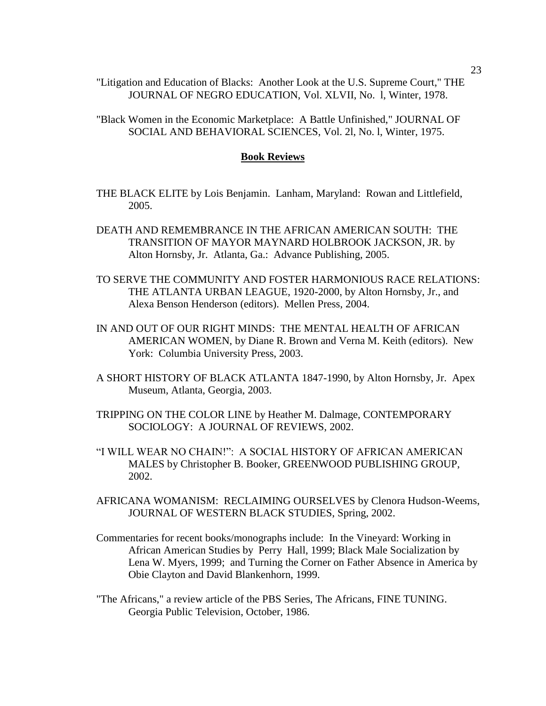"Litigation and Education of Blacks: Another Look at the U.S. Supreme Court," THE JOURNAL OF NEGRO EDUCATION, Vol. XLVII, No. l, Winter, 1978.

"Black Women in the Economic Marketplace: A Battle Unfinished," JOURNAL OF SOCIAL AND BEHAVIORAL SCIENCES, Vol. 2l, No. l, Winter, 1975.

#### **Book Reviews**

- THE BLACK ELITE by Lois Benjamin. Lanham, Maryland: Rowan and Littlefield, 2005.
- DEATH AND REMEMBRANCE IN THE AFRICAN AMERICAN SOUTH: THE TRANSITION OF MAYOR MAYNARD HOLBROOK JACKSON, JR. by Alton Hornsby, Jr. Atlanta, Ga.: Advance Publishing, 2005.
- TO SERVE THE COMMUNITY AND FOSTER HARMONIOUS RACE RELATIONS: THE ATLANTA URBAN LEAGUE, 1920-2000, by Alton Hornsby, Jr., and Alexa Benson Henderson (editors). Mellen Press, 2004.
- IN AND OUT OF OUR RIGHT MINDS: THE MENTAL HEALTH OF AFRICAN AMERICAN WOMEN, by Diane R. Brown and Verna M. Keith (editors). New York: Columbia University Press, 2003.
- A SHORT HISTORY OF BLACK ATLANTA 1847-1990, by Alton Hornsby, Jr. Apex Museum, Atlanta, Georgia, 2003.
- TRIPPING ON THE COLOR LINE by Heather M. Dalmage, CONTEMPORARY SOCIOLOGY: A JOURNAL OF REVIEWS, 2002.
- "I WILL WEAR NO CHAIN!": A SOCIAL HISTORY OF AFRICAN AMERICAN MALES by Christopher B. Booker, GREENWOOD PUBLISHING GROUP, 2002.
- AFRICANA WOMANISM: RECLAIMING OURSELVES by Clenora Hudson-Weems, JOURNAL OF WESTERN BLACK STUDIES, Spring, 2002.
- Commentaries for recent books/monographs include: In the Vineyard: Working in African American Studies by Perry Hall, 1999; Black Male Socialization by Lena W. Myers, 1999; and Turning the Corner on Father Absence in America by Obie Clayton and David Blankenhorn, 1999.
- "The Africans," a review article of the PBS Series, The Africans, FINE TUNING. Georgia Public Television, October, 1986.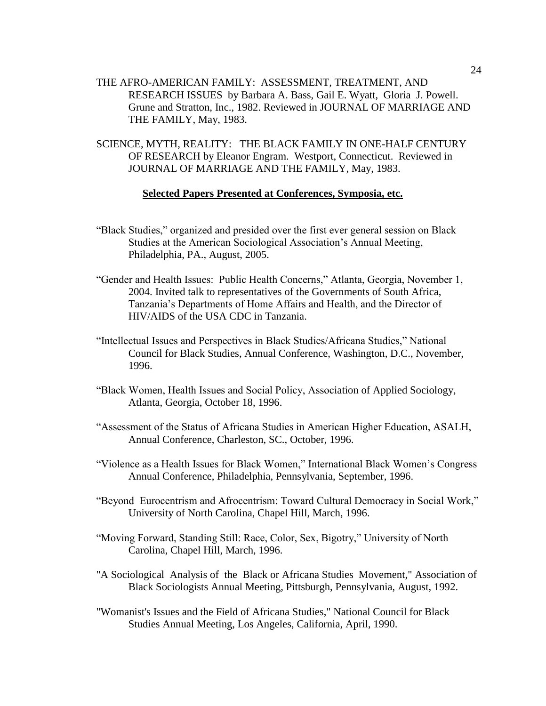- THE AFRO-AMERICAN FAMILY: ASSESSMENT, TREATMENT, AND RESEARCH ISSUES by Barbara A. Bass, Gail E. Wyatt, Gloria J. Powell. Grune and Stratton, Inc., 1982. Reviewed in JOURNAL OF MARRIAGE AND THE FAMILY, May, 1983.
- SCIENCE, MYTH, REALITY: THE BLACK FAMILY IN ONE-HALF CENTURY OF RESEARCH by Eleanor Engram. Westport, Connecticut. Reviewed in JOURNAL OF MARRIAGE AND THE FAMILY, May, 1983.

#### **Selected Papers Presented at Conferences, Symposia, etc.**

- "Black Studies," organized and presided over the first ever general session on Black Studies at the American Sociological Association's Annual Meeting, Philadelphia, PA., August, 2005.
- "Gender and Health Issues: Public Health Concerns," Atlanta, Georgia, November 1, 2004. Invited talk to representatives of the Governments of South Africa, Tanzania's Departments of Home Affairs and Health, and the Director of HIV/AIDS of the USA CDC in Tanzania.
- "Intellectual Issues and Perspectives in Black Studies/Africana Studies," National Council for Black Studies, Annual Conference, Washington, D.C., November, 1996.
- "Black Women, Health Issues and Social Policy, Association of Applied Sociology, Atlanta, Georgia, October 18, 1996.
- "Assessment of the Status of Africana Studies in American Higher Education, ASALH, Annual Conference, Charleston, SC., October, 1996.
- "Violence as a Health Issues for Black Women," International Black Women's Congress Annual Conference, Philadelphia, Pennsylvania, September, 1996.
- "Beyond Eurocentrism and Afrocentrism: Toward Cultural Democracy in Social Work," University of North Carolina, Chapel Hill, March, 1996.
- "Moving Forward, Standing Still: Race, Color, Sex, Bigotry," University of North Carolina, Chapel Hill, March, 1996.
- "A Sociological Analysis of the Black or Africana Studies Movement," Association of Black Sociologists Annual Meeting, Pittsburgh, Pennsylvania, August, 1992.
- "Womanist's Issues and the Field of Africana Studies," National Council for Black Studies Annual Meeting, Los Angeles, California, April, 1990.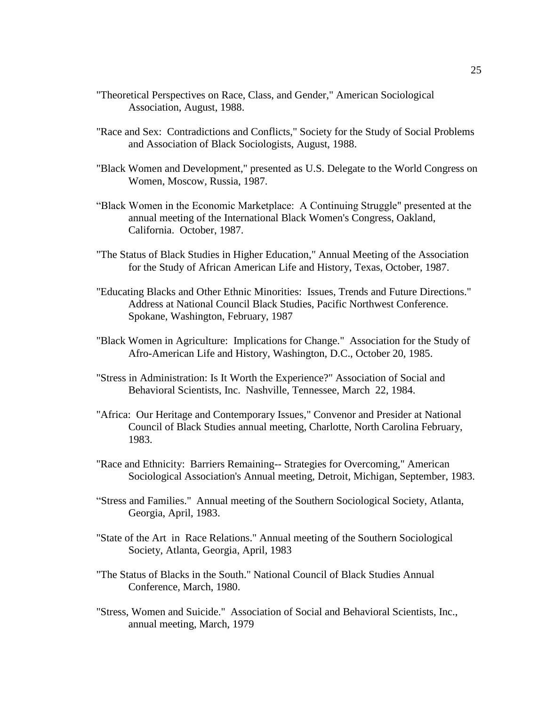- "Theoretical Perspectives on Race, Class, and Gender," American Sociological Association, August, 1988.
- "Race and Sex: Contradictions and Conflicts," Society for the Study of Social Problems and Association of Black Sociologists, August, 1988.
- "Black Women and Development," presented as U.S. Delegate to the World Congress on Women, Moscow, Russia, 1987.
- "Black Women in the Economic Marketplace: A Continuing Struggle" presented at the annual meeting of the International Black Women's Congress, Oakland, California. October, 1987.
- "The Status of Black Studies in Higher Education," Annual Meeting of the Association for the Study of African American Life and History, Texas, October, 1987.
- "Educating Blacks and Other Ethnic Minorities: Issues, Trends and Future Directions." Address at National Council Black Studies, Pacific Northwest Conference. Spokane, Washington, February, 1987
- "Black Women in Agriculture: Implications for Change." Association for the Study of Afro-American Life and History, Washington, D.C., October 20, 1985.
- "Stress in Administration: Is It Worth the Experience?" Association of Social and Behavioral Scientists, Inc. Nashville, Tennessee, March 22, 1984.
- "Africa: Our Heritage and Contemporary Issues," Convenor and Presider at National Council of Black Studies annual meeting, Charlotte, North Carolina February, 1983.
- "Race and Ethnicity: Barriers Remaining-- Strategies for Overcoming," American Sociological Association's Annual meeting, Detroit, Michigan, September, 1983.
- "Stress and Families." Annual meeting of the Southern Sociological Society, Atlanta, Georgia, April, 1983.
- "State of the Art in Race Relations." Annual meeting of the Southern Sociological Society, Atlanta, Georgia, April, 1983
- "The Status of Blacks in the South." National Council of Black Studies Annual Conference, March, 1980.
- "Stress, Women and Suicide." Association of Social and Behavioral Scientists, Inc., annual meeting, March, 1979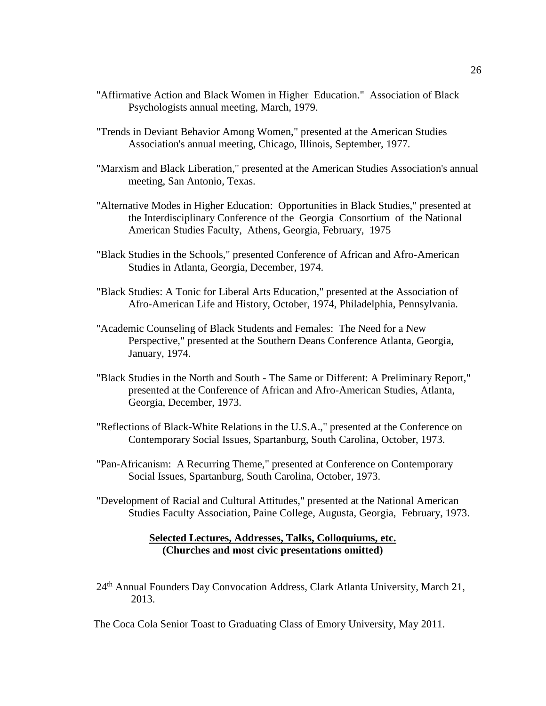- "Affirmative Action and Black Women in Higher Education." Association of Black Psychologists annual meeting, March, 1979.
- "Trends in Deviant Behavior Among Women," presented at the American Studies Association's annual meeting, Chicago, Illinois, September, 1977.
- "Marxism and Black Liberation," presented at the American Studies Association's annual meeting, San Antonio, Texas.
- "Alternative Modes in Higher Education: Opportunities in Black Studies," presented at the Interdisciplinary Conference of the Georgia Consortium of the National American Studies Faculty, Athens, Georgia, February, 1975
- "Black Studies in the Schools," presented Conference of African and Afro-American Studies in Atlanta, Georgia, December, 1974.
- "Black Studies: A Tonic for Liberal Arts Education," presented at the Association of Afro-American Life and History, October, 1974, Philadelphia, Pennsylvania.
- "Academic Counseling of Black Students and Females: The Need for a New Perspective," presented at the Southern Deans Conference Atlanta, Georgia, January, 1974.
- "Black Studies in the North and South The Same or Different: A Preliminary Report," presented at the Conference of African and Afro-American Studies, Atlanta, Georgia, December, 1973.
- "Reflections of Black-White Relations in the U.S.A.," presented at the Conference on Contemporary Social Issues, Spartanburg, South Carolina, October, 1973.
- "Pan-Africanism: A Recurring Theme," presented at Conference on Contemporary Social Issues, Spartanburg, South Carolina, October, 1973.
- "Development of Racial and Cultural Attitudes," presented at the National American Studies Faculty Association, Paine College, Augusta, Georgia, February, 1973.

## **Selected Lectures, Addresses, Talks, Colloquiums, etc. (Churches and most civic presentations omitted)**

24<sup>th</sup> Annual Founders Day Convocation Address, Clark Atlanta University, March 21, 2013.

The Coca Cola Senior Toast to Graduating Class of Emory University, May 2011.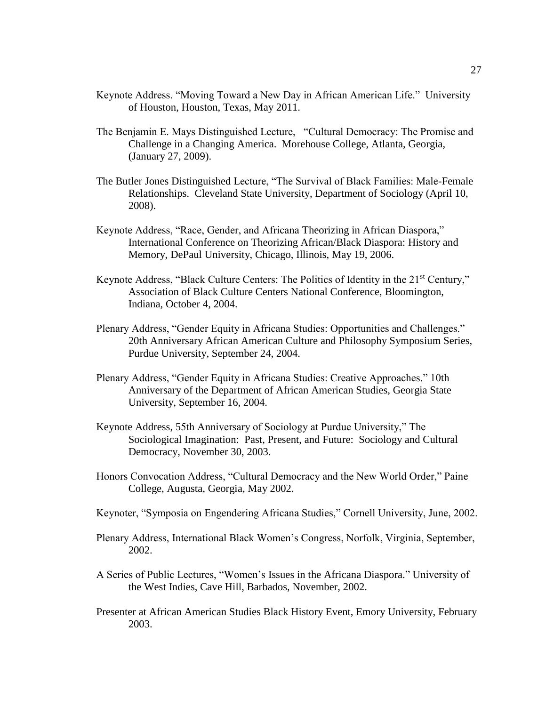- Keynote Address. "Moving Toward a New Day in African American Life." University of Houston, Houston, Texas, May 2011.
- The Benjamin E. Mays Distinguished Lecture, "Cultural Democracy: The Promise and Challenge in a Changing America. Morehouse College, Atlanta, Georgia, (January 27, 2009).
- The Butler Jones Distinguished Lecture, "The Survival of Black Families: Male-Female Relationships. Cleveland State University, Department of Sociology (April 10, 2008).
- Keynote Address, "Race, Gender, and Africana Theorizing in African Diaspora," International Conference on Theorizing African/Black Diaspora: History and Memory, DePaul University, Chicago, Illinois, May 19, 2006.
- Keynote Address, "Black Culture Centers: The Politics of Identity in the 21<sup>st</sup> Century," Association of Black Culture Centers National Conference, Bloomington, Indiana, October 4, 2004.
- Plenary Address, "Gender Equity in Africana Studies: Opportunities and Challenges." 20th Anniversary African American Culture and Philosophy Symposium Series, Purdue University, September 24, 2004.
- Plenary Address, "Gender Equity in Africana Studies: Creative Approaches." 10th Anniversary of the Department of African American Studies, Georgia State University, September 16, 2004.
- Keynote Address, 55th Anniversary of Sociology at Purdue University," The Sociological Imagination: Past, Present, and Future: Sociology and Cultural Democracy, November 30, 2003.
- Honors Convocation Address, "Cultural Democracy and the New World Order," Paine College, Augusta, Georgia, May 2002.
- Keynoter, "Symposia on Engendering Africana Studies," Cornell University, June, 2002.
- Plenary Address, International Black Women's Congress, Norfolk, Virginia, September, 2002.
- A Series of Public Lectures, "Women's Issues in the Africana Diaspora." University of the West Indies, Cave Hill, Barbados, November, 2002.
- Presenter at African American Studies Black History Event, Emory University, February 2003.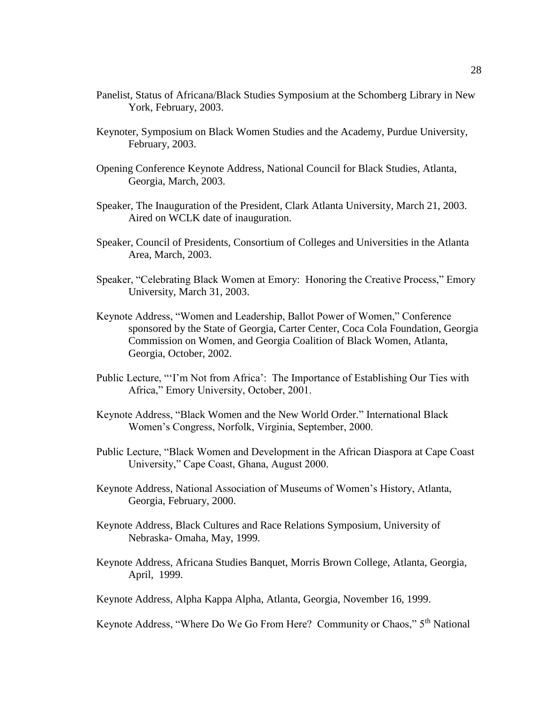- Panelist, Status of Africana/Black Studies Symposium at the Schomberg Library in New York, February, 2003.
- Keynoter, Symposium on Black Women Studies and the Academy, Purdue University, February, 2003.
- Opening Conference Keynote Address, National Council for Black Studies, Atlanta, Georgia, March, 2003.
- Speaker, The Inauguration of the President, Clark Atlanta University, March 21, 2003. Aired on WCLK date of inauguration.
- Speaker, Council of Presidents, Consortium of Colleges and Universities in the Atlanta Area, March, 2003.
- Speaker, "Celebrating Black Women at Emory: Honoring the Creative Process," Emory University, March 31, 2003.
- Keynote Address, "Women and Leadership, Ballot Power of Women," Conference sponsored by the State of Georgia, Carter Center, Coca Cola Foundation, Georgia Commission on Women, and Georgia Coalition of Black Women, Atlanta, Georgia, October, 2002.
- Public Lecture, "'I'm Not from Africa': The Importance of Establishing Our Ties with Africa," Emory University, October, 2001.
- Keynote Address, "Black Women and the New World Order." International Black Women's Congress, Norfolk, Virginia, September, 2000.
- Public Lecture, "Black Women and Development in the African Diaspora at Cape Coast University," Cape Coast, Ghana, August 2000.
- Keynote Address, National Association of Museums of Women's History, Atlanta, Georgia, February, 2000.
- Keynote Address, Black Cultures and Race Relations Symposium, University of Nebraska- Omaha, May, 1999.
- Keynote Address, Africana Studies Banquet, Morris Brown College, Atlanta, Georgia, April, 1999.
- Keynote Address, Alpha Kappa Alpha, Atlanta, Georgia, November 16, 1999.

Keynote Address, "Where Do We Go From Here? Community or Chaos," 5<sup>th</sup> National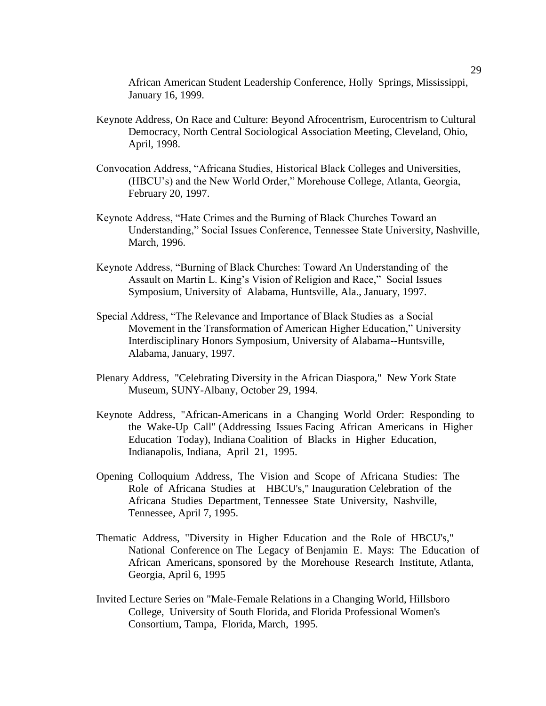African American Student Leadership Conference, Holly Springs, Mississippi, January 16, 1999.

- Keynote Address, On Race and Culture: Beyond Afrocentrism, Eurocentrism to Cultural Democracy, North Central Sociological Association Meeting, Cleveland, Ohio, April, 1998.
- Convocation Address, "Africana Studies, Historical Black Colleges and Universities, (HBCU's) and the New World Order," Morehouse College, Atlanta, Georgia, February 20, 1997.
- Keynote Address, "Hate Crimes and the Burning of Black Churches Toward an Understanding," Social Issues Conference, Tennessee State University, Nashville, March, 1996.
- Keynote Address, "Burning of Black Churches: Toward An Understanding of the Assault on Martin L. King's Vision of Religion and Race," Social Issues Symposium, University of Alabama, Huntsville, Ala., January, 1997.
- Special Address, "The Relevance and Importance of Black Studies as a Social Movement in the Transformation of American Higher Education," University Interdisciplinary Honors Symposium, University of Alabama--Huntsville, Alabama, January, 1997.
- Plenary Address, "Celebrating Diversity in the African Diaspora," New York State Museum, SUNY-Albany, October 29, 1994.
- Keynote Address, "African-Americans in a Changing World Order: Responding to the Wake-Up Call" (Addressing Issues Facing African Americans in Higher Education Today), Indiana Coalition of Blacks in Higher Education, Indianapolis, Indiana, April 21, 1995.
- Opening Colloquium Address, The Vision and Scope of Africana Studies: The Role of Africana Studies at HBCU's," Inauguration Celebration of the Africana Studies Department, Tennessee State University, Nashville, Tennessee, April 7, 1995.
- Thematic Address, "Diversity in Higher Education and the Role of HBCU's," National Conference on The Legacy of Benjamin E. Mays: The Education of African Americans, sponsored by the Morehouse Research Institute, Atlanta, Georgia, April 6, 1995
- Invited Lecture Series on "Male-Female Relations in a Changing World, Hillsboro College, University of South Florida, and Florida Professional Women's Consortium, Tampa, Florida, March, 1995.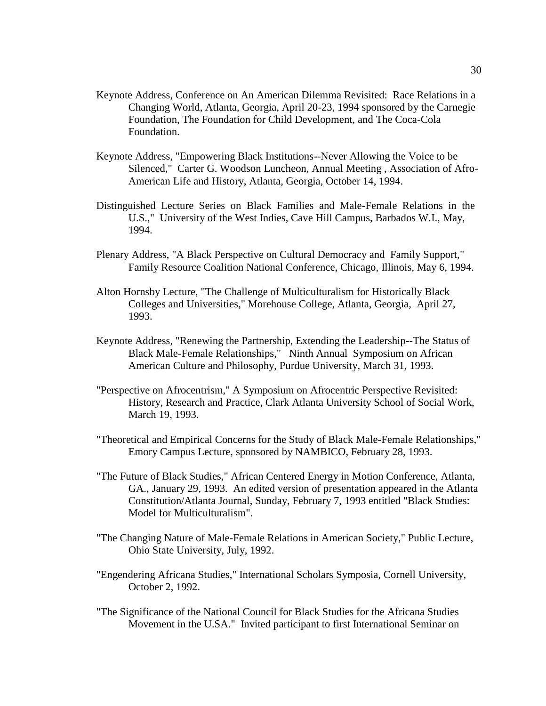- Keynote Address, Conference on An American Dilemma Revisited: Race Relations in a Changing World, Atlanta, Georgia, April 20-23, 1994 sponsored by the Carnegie Foundation, The Foundation for Child Development, and The Coca-Cola Foundation.
- Keynote Address, "Empowering Black Institutions--Never Allowing the Voice to be Silenced," Carter G. Woodson Luncheon, Annual Meeting , Association of Afro-American Life and History, Atlanta, Georgia, October 14, 1994.
- Distinguished Lecture Series on Black Families and Male-Female Relations in the U.S.," University of the West Indies, Cave Hill Campus, Barbados W.I., May, 1994.
- Plenary Address, "A Black Perspective on Cultural Democracy and Family Support," Family Resource Coalition National Conference, Chicago, Illinois, May 6, 1994.
- Alton Hornsby Lecture, "The Challenge of Multiculturalism for Historically Black Colleges and Universities," Morehouse College, Atlanta, Georgia, April 27, 1993.
- Keynote Address, "Renewing the Partnership, Extending the Leadership--The Status of Black Male-Female Relationships," Ninth Annual Symposium on African American Culture and Philosophy, Purdue University, March 31, 1993.
- "Perspective on Afrocentrism," A Symposium on Afrocentric Perspective Revisited: History, Research and Practice, Clark Atlanta University School of Social Work, March 19, 1993.
- "Theoretical and Empirical Concerns for the Study of Black Male-Female Relationships," Emory Campus Lecture, sponsored by NAMBICO, February 28, 1993.
- "The Future of Black Studies," African Centered Energy in Motion Conference, Atlanta, GA., January 29, 1993. An edited version of presentation appeared in the Atlanta Constitution/Atlanta Journal, Sunday, February 7, 1993 entitled "Black Studies: Model for Multiculturalism".
- "The Changing Nature of Male-Female Relations in American Society," Public Lecture, Ohio State University, July, 1992.
- "Engendering Africana Studies," International Scholars Symposia, Cornell University, October 2, 1992.
- "The Significance of the National Council for Black Studies for the Africana Studies Movement in the U.SA." Invited participant to first International Seminar on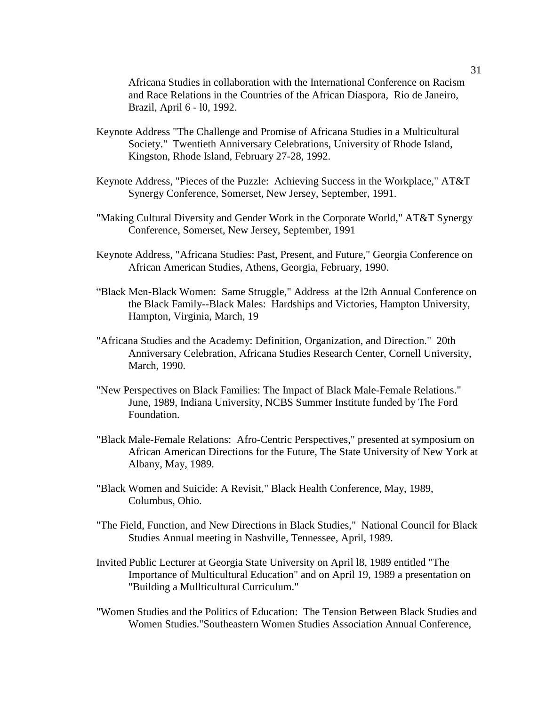Africana Studies in collaboration with the International Conference on Racism and Race Relations in the Countries of the African Diaspora, Rio de Janeiro, Brazil, April 6 - l0, 1992.

- Keynote Address "The Challenge and Promise of Africana Studies in a Multicultural Society." Twentieth Anniversary Celebrations, University of Rhode Island, Kingston, Rhode Island, February 27-28, 1992.
- Keynote Address, "Pieces of the Puzzle: Achieving Success in the Workplace," AT&T Synergy Conference, Somerset, New Jersey, September, 1991.
- "Making Cultural Diversity and Gender Work in the Corporate World," AT&T Synergy Conference, Somerset, New Jersey, September, 1991
- Keynote Address, "Africana Studies: Past, Present, and Future," Georgia Conference on African American Studies, Athens, Georgia, February, 1990.
- "Black Men-Black Women: Same Struggle," Address at the l2th Annual Conference on the Black Family--Black Males: Hardships and Victories, Hampton University, Hampton, Virginia, March, 19
- "Africana Studies and the Academy: Definition, Organization, and Direction." 20th Anniversary Celebration, Africana Studies Research Center, Cornell University, March, 1990.
- "New Perspectives on Black Families: The Impact of Black Male-Female Relations." June, 1989, Indiana University, NCBS Summer Institute funded by The Ford Foundation.
- "Black Male-Female Relations: Afro-Centric Perspectives," presented at symposium on African American Directions for the Future, The State University of New York at Albany, May, 1989.
- "Black Women and Suicide: A Revisit," Black Health Conference, May, 1989, Columbus, Ohio.
- "The Field, Function, and New Directions in Black Studies," National Council for Black Studies Annual meeting in Nashville, Tennessee, April, 1989.
- Invited Public Lecturer at Georgia State University on April l8, 1989 entitled "The Importance of Multicultural Education" and on April 19, 1989 a presentation on "Building a Mullticultural Curriculum."
- "Women Studies and the Politics of Education: The Tension Between Black Studies and Women Studies."Southeastern Women Studies Association Annual Conference,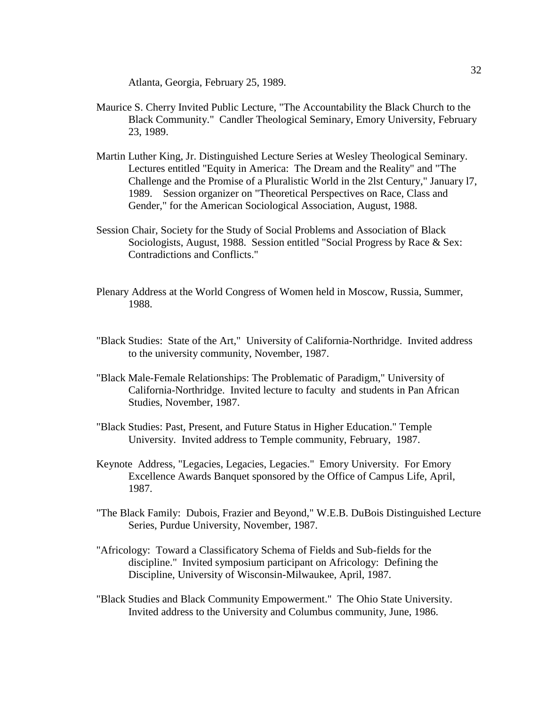Atlanta, Georgia, February 25, 1989.

- Maurice S. Cherry Invited Public Lecture, "The Accountability the Black Church to the Black Community." Candler Theological Seminary, Emory University, February 23, 1989.
- Martin Luther King, Jr. Distinguished Lecture Series at Wesley Theological Seminary. Lectures entitled "Equity in America: The Dream and the Reality" and "The Challenge and the Promise of a Pluralistic World in the 2lst Century," January l7, 1989. Session organizer on "Theoretical Perspectives on Race, Class and Gender," for the American Sociological Association, August, 1988.
- Session Chair, Society for the Study of Social Problems and Association of Black Sociologists, August, 1988. Session entitled "Social Progress by Race & Sex: Contradictions and Conflicts."
- Plenary Address at the World Congress of Women held in Moscow, Russia, Summer, 1988.
- "Black Studies: State of the Art," University of California-Northridge. Invited address to the university community, November, 1987.
- "Black Male-Female Relationships: The Problematic of Paradigm," University of California-Northridge. Invited lecture to faculty and students in Pan African Studies, November, 1987.
- "Black Studies: Past, Present, and Future Status in Higher Education." Temple University. Invited address to Temple community, February, 1987.
- Keynote Address, "Legacies, Legacies, Legacies." Emory University. For Emory Excellence Awards Banquet sponsored by the Office of Campus Life, April, 1987.
- "The Black Family: Dubois, Frazier and Beyond," W.E.B. DuBois Distinguished Lecture Series, Purdue University, November, 1987.
- "Africology: Toward a Classificatory Schema of Fields and Sub-fields for the discipline." Invited symposium participant on Africology: Defining the Discipline, University of Wisconsin-Milwaukee, April, 1987.
- "Black Studies and Black Community Empowerment." The Ohio State University. Invited address to the University and Columbus community, June, 1986.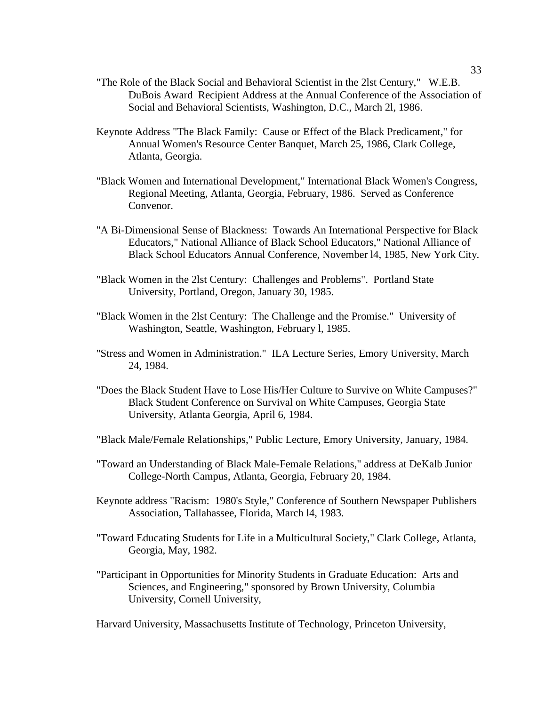- "The Role of the Black Social and Behavioral Scientist in the 2lst Century," W.E.B. DuBois Award Recipient Address at the Annual Conference of the Association of Social and Behavioral Scientists, Washington, D.C., March 2l, 1986.
- Keynote Address "The Black Family: Cause or Effect of the Black Predicament," for Annual Women's Resource Center Banquet, March 25, 1986, Clark College, Atlanta, Georgia.
- "Black Women and International Development," International Black Women's Congress, Regional Meeting, Atlanta, Georgia, February, 1986. Served as Conference Convenor.
- "A Bi-Dimensional Sense of Blackness: Towards An International Perspective for Black Educators," National Alliance of Black School Educators," National Alliance of Black School Educators Annual Conference, November l4, 1985, New York City.
- "Black Women in the 2lst Century: Challenges and Problems". Portland State University, Portland, Oregon, January 30, 1985.
- "Black Women in the 2lst Century: The Challenge and the Promise." University of Washington, Seattle, Washington, February l, 1985.
- "Stress and Women in Administration." ILA Lecture Series, Emory University, March 24, 1984.
- "Does the Black Student Have to Lose His/Her Culture to Survive on White Campuses?" Black Student Conference on Survival on White Campuses, Georgia State University, Atlanta Georgia, April 6, 1984.
- "Black Male/Female Relationships," Public Lecture, Emory University, January, 1984.
- "Toward an Understanding of Black Male-Female Relations," address at DeKalb Junior College-North Campus, Atlanta, Georgia, February 20, 1984.
- Keynote address "Racism: 1980's Style," Conference of Southern Newspaper Publishers Association, Tallahassee, Florida, March l4, 1983.
- "Toward Educating Students for Life in a Multicultural Society," Clark College, Atlanta, Georgia, May, 1982.
- "Participant in Opportunities for Minority Students in Graduate Education: Arts and Sciences, and Engineering," sponsored by Brown University, Columbia University, Cornell University,

Harvard University, Massachusetts Institute of Technology, Princeton University,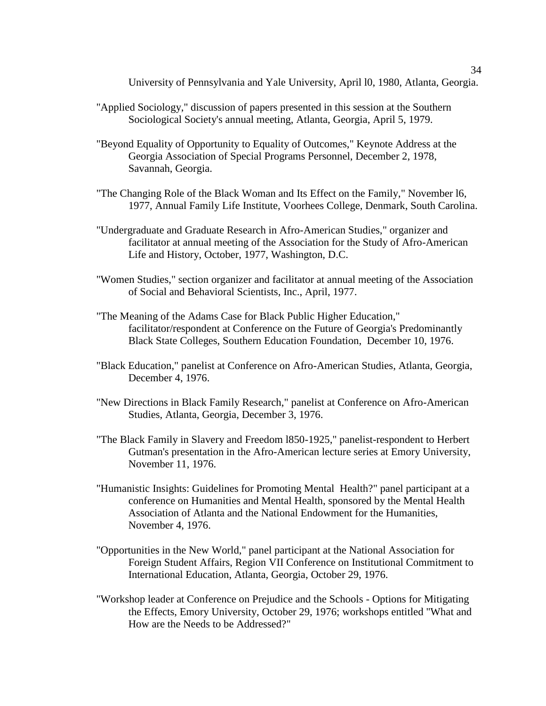University of Pennsylvania and Yale University, April l0, 1980, Atlanta, Georgia.

- "Applied Sociology," discussion of papers presented in this session at the Southern Sociological Society's annual meeting, Atlanta, Georgia, April 5, 1979.
- "Beyond Equality of Opportunity to Equality of Outcomes," Keynote Address at the Georgia Association of Special Programs Personnel, December 2, 1978, Savannah, Georgia.
- "The Changing Role of the Black Woman and Its Effect on the Family," November l6, 1977, Annual Family Life Institute, Voorhees College, Denmark, South Carolina.
- "Undergraduate and Graduate Research in Afro-American Studies," organizer and facilitator at annual meeting of the Association for the Study of Afro-American Life and History, October, 1977, Washington, D.C.
- "Women Studies," section organizer and facilitator at annual meeting of the Association of Social and Behavioral Scientists, Inc., April, 1977.
- "The Meaning of the Adams Case for Black Public Higher Education," facilitator/respondent at Conference on the Future of Georgia's Predominantly Black State Colleges, Southern Education Foundation, December 10, 1976.
- "Black Education," panelist at Conference on Afro-American Studies, Atlanta, Georgia, December 4, 1976.
- "New Directions in Black Family Research," panelist at Conference on Afro-American Studies, Atlanta, Georgia, December 3, 1976.
- "The Black Family in Slavery and Freedom l850-1925," panelist-respondent to Herbert Gutman's presentation in the Afro-American lecture series at Emory University, November 11, 1976.
- "Humanistic Insights: Guidelines for Promoting Mental Health?" panel participant at a conference on Humanities and Mental Health, sponsored by the Mental Health Association of Atlanta and the National Endowment for the Humanities, November 4, 1976.
- "Opportunities in the New World," panel participant at the National Association for Foreign Student Affairs, Region VII Conference on Institutional Commitment to International Education, Atlanta, Georgia, October 29, 1976.
- "Workshop leader at Conference on Prejudice and the Schools Options for Mitigating the Effects, Emory University, October 29, 1976; workshops entitled "What and How are the Needs to be Addressed?"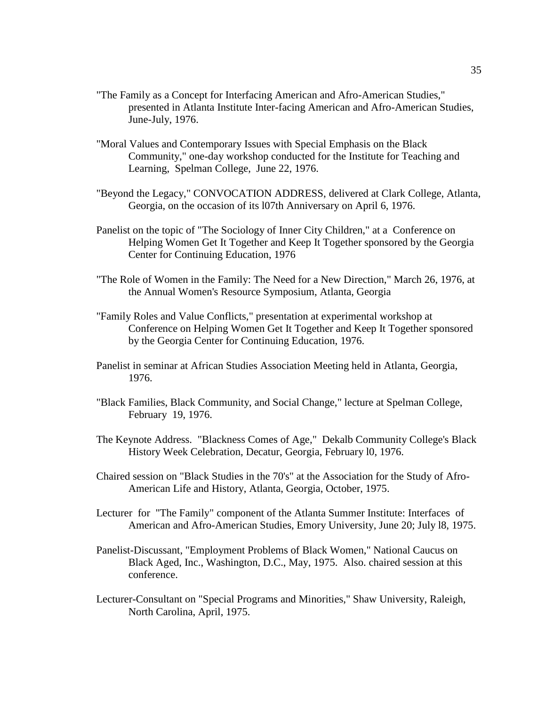- "The Family as a Concept for Interfacing American and Afro-American Studies," presented in Atlanta Institute Inter-facing American and Afro-American Studies, June-July, 1976.
- "Moral Values and Contemporary Issues with Special Emphasis on the Black Community," one-day workshop conducted for the Institute for Teaching and Learning, Spelman College, June 22, 1976.
- "Beyond the Legacy," CONVOCATION ADDRESS, delivered at Clark College, Atlanta, Georgia, on the occasion of its l07th Anniversary on April 6, 1976.
- Panelist on the topic of "The Sociology of Inner City Children," at a Conference on Helping Women Get It Together and Keep It Together sponsored by the Georgia Center for Continuing Education, 1976
- "The Role of Women in the Family: The Need for a New Direction," March 26, 1976, at the Annual Women's Resource Symposium, Atlanta, Georgia
- "Family Roles and Value Conflicts," presentation at experimental workshop at Conference on Helping Women Get It Together and Keep It Together sponsored by the Georgia Center for Continuing Education, 1976.
- Panelist in seminar at African Studies Association Meeting held in Atlanta, Georgia, 1976.
- "Black Families, Black Community, and Social Change," lecture at Spelman College, February 19, 1976.
- The Keynote Address. "Blackness Comes of Age," Dekalb Community College's Black History Week Celebration, Decatur, Georgia, February l0, 1976.
- Chaired session on "Black Studies in the 70's" at the Association for the Study of Afro-American Life and History, Atlanta, Georgia, October, 1975.
- Lecturer for "The Family" component of the Atlanta Summer Institute: Interfaces of American and Afro-American Studies, Emory University, June 20; July l8, 1975.
- Panelist-Discussant, "Employment Problems of Black Women," National Caucus on Black Aged, Inc., Washington, D.C., May, 1975. Also. chaired session at this conference.
- Lecturer-Consultant on "Special Programs and Minorities," Shaw University, Raleigh, North Carolina, April, 1975.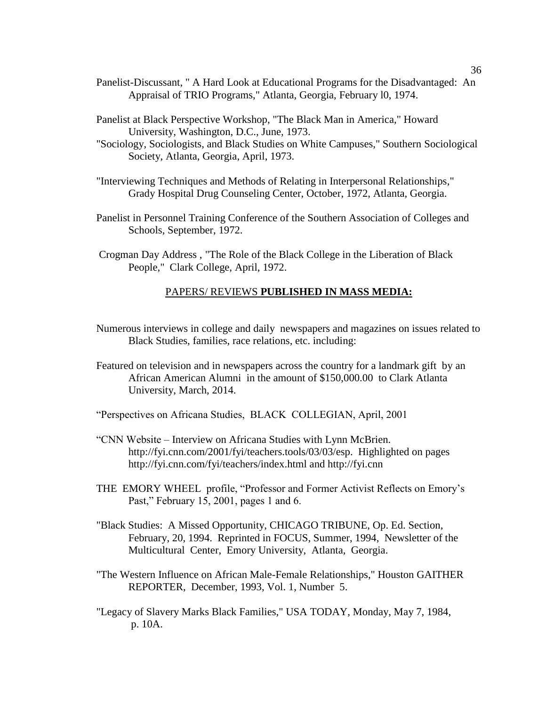- Panelist-Discussant, " A Hard Look at Educational Programs for the Disadvantaged: An Appraisal of TRIO Programs," Atlanta, Georgia, February l0, 1974.
- Panelist at Black Perspective Workshop, "The Black Man in America," Howard University, Washington, D.C., June, 1973.
- "Sociology, Sociologists, and Black Studies on White Campuses," Southern Sociological Society, Atlanta, Georgia, April, 1973.
- "Interviewing Techniques and Methods of Relating in Interpersonal Relationships," Grady Hospital Drug Counseling Center, October, 1972, Atlanta, Georgia.
- Panelist in Personnel Training Conference of the Southern Association of Colleges and Schools, September, 1972.
- Crogman Day Address , "The Role of the Black College in the Liberation of Black People," Clark College, April, 1972.

#### PAPERS/ REVIEWS **PUBLISHED IN MASS MEDIA:**

- Numerous interviews in college and daily newspapers and magazines on issues related to Black Studies, families, race relations, etc. including:
- Featured on television and in newspapers across the country for a landmark gift by an African American Alumni in the amount of \$150,000.00 to Clark Atlanta University, March, 2014.
- "Perspectives on Africana Studies, BLACK COLLEGIAN, April, 2001
- "CNN Website Interview on Africana Studies with Lynn McBrien. http://fyi.cnn.com/2001/fyi/teachers.tools/03/03/esp. Highlighted on pages http://fyi.cnn.com/fyi/teachers/index.html and http://fyi.cnn
- THE EMORY WHEEL profile, "Professor and Former Activist Reflects on Emory's Past," February 15, 2001, pages 1 and 6.
- "Black Studies: A Missed Opportunity, CHICAGO TRIBUNE, Op. Ed. Section, February, 20, 1994. Reprinted in FOCUS, Summer, 1994, Newsletter of the Multicultural Center, Emory University, Atlanta, Georgia.
- "The Western Influence on African Male-Female Relationships," Houston GAITHER REPORTER, December, 1993, Vol. 1, Number 5.
- "Legacy of Slavery Marks Black Families," USA TODAY, Monday, May 7, 1984, p. 10A.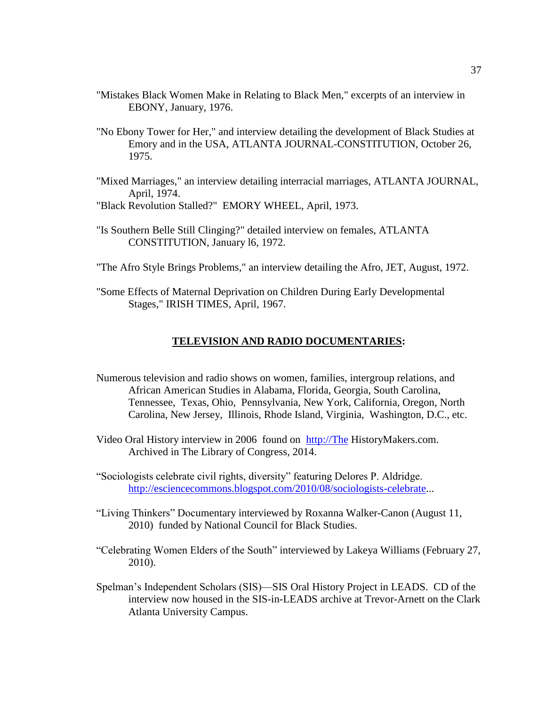- "Mistakes Black Women Make in Relating to Black Men," excerpts of an interview in EBONY, January, 1976.
- "No Ebony Tower for Her," and interview detailing the development of Black Studies at Emory and in the USA, ATLANTA JOURNAL-CONSTITUTION, October 26, 1975.
- "Mixed Marriages," an interview detailing interracial marriages, ATLANTA JOURNAL, April, 1974.
- "Black Revolution Stalled?" EMORY WHEEL, April, 1973.
- "Is Southern Belle Still Clinging?" detailed interview on females, ATLANTA CONSTITUTION, January l6, 1972.
- "The Afro Style Brings Problems," an interview detailing the Afro, JET, August, 1972.
- "Some Effects of Maternal Deprivation on Children During Early Developmental Stages," IRISH TIMES, April, 1967.

#### **TELEVISION AND RADIO DOCUMENTARIES:**

- Numerous television and radio shows on women, families, intergroup relations, and African American Studies in Alabama, Florida, Georgia, South Carolina, Tennessee, Texas, Ohio, Pennsylvania, New York, California, Oregon, North Carolina, New Jersey, Illinois, Rhode Island, Virginia, Washington, D.C., etc.
- Video Oral History interview in 2006 found on [http://The](http://the/) HistoryMakers.com. Archived in The Library of Congress, 2014.
- "Sociologists celebrate civil rights, diversity" featuring Delores P. Aldridge. [http://esciencecommons.blogspot.com/2010/08/sociologists-celebrate.](http://esciencecommons.blogspot.com/2010/08/sociologists-celebrate)..
- "Living Thinkers" Documentary interviewed by Roxanna Walker-Canon (August 11, 2010) funded by National Council for Black Studies.
- "Celebrating Women Elders of the South" interviewed by Lakeya Williams (February 27, 2010).
- Spelman's Independent Scholars (SIS)—SIS Oral History Project in LEADS. CD of the interview now housed in the SIS-in-LEADS archive at Trevor-Arnett on the Clark Atlanta University Campus.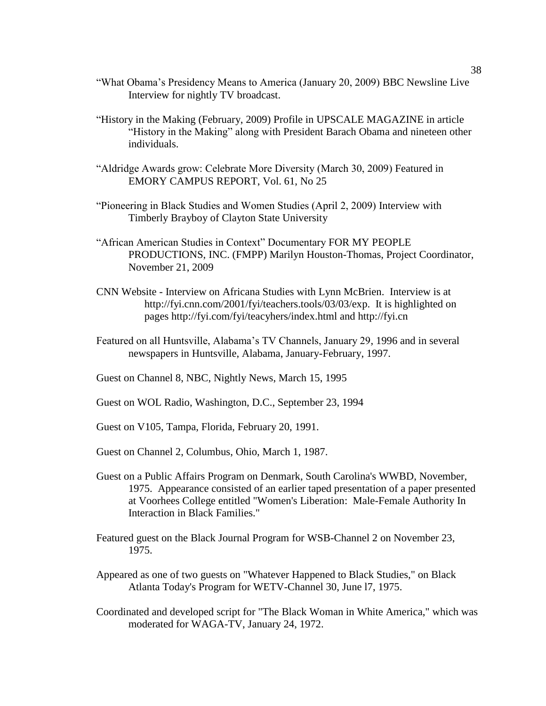- "What Obama's Presidency Means to America (January 20, 2009) BBC Newsline Live Interview for nightly TV broadcast.
- "History in the Making (February, 2009) Profile in UPSCALE MAGAZINE in article "History in the Making" along with President Barach Obama and nineteen other individuals.
- "Aldridge Awards grow: Celebrate More Diversity (March 30, 2009) Featured in EMORY CAMPUS REPORT, Vol. 61, No 25
- "Pioneering in Black Studies and Women Studies (April 2, 2009) Interview with Timberly Brayboy of Clayton State University
- "African American Studies in Context" Documentary FOR MY PEOPLE PRODUCTIONS, INC. (FMPP) Marilyn Houston-Thomas, Project Coordinator, November 21, 2009
- CNN Website Interview on Africana Studies with Lynn McBrien. Interview is at http://fyi.cnn.com/2001/fyi/teachers.tools/03/03/exp. It is highlighted on pages http://fyi.com/fyi/teacyhers/index.html and http://fyi.cn
- Featured on all Huntsville, Alabama's TV Channels, January 29, 1996 and in several newspapers in Huntsville, Alabama, January-February, 1997.
- Guest on Channel 8, NBC, Nightly News, March 15, 1995
- Guest on WOL Radio, Washington, D.C., September 23, 1994
- Guest on V105, Tampa, Florida, February 20, 1991.
- Guest on Channel 2, Columbus, Ohio, March 1, 1987.
- Guest on a Public Affairs Program on Denmark, South Carolina's WWBD, November, 1975. Appearance consisted of an earlier taped presentation of a paper presented at Voorhees College entitled "Women's Liberation: Male-Female Authority In Interaction in Black Families."
- Featured guest on the Black Journal Program for WSB-Channel 2 on November 23, 1975.
- Appeared as one of two guests on "Whatever Happened to Black Studies," on Black Atlanta Today's Program for WETV-Channel 30, June l7, 1975.
- Coordinated and developed script for "The Black Woman in White America," which was moderated for WAGA-TV, January 24, 1972.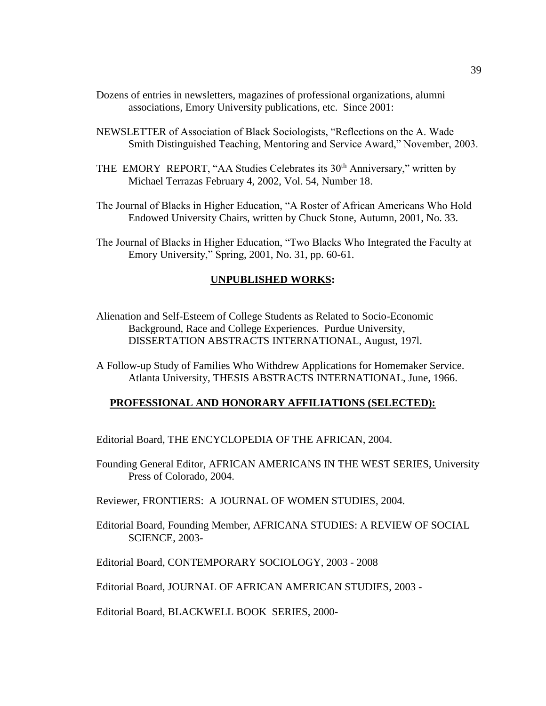- Dozens of entries in newsletters, magazines of professional organizations, alumni associations, Emory University publications, etc. Since 2001:
- NEWSLETTER of Association of Black Sociologists, "Reflections on the A. Wade Smith Distinguished Teaching, Mentoring and Service Award," November, 2003.
- THE EMORY REPORT, "AA Studies Celebrates its 30<sup>th</sup> Anniversary," written by Michael Terrazas February 4, 2002, Vol. 54, Number 18.
- The Journal of Blacks in Higher Education, "A Roster of African Americans Who Hold Endowed University Chairs, written by Chuck Stone, Autumn, 2001, No. 33.
- The Journal of Blacks in Higher Education, "Two Blacks Who Integrated the Faculty at Emory University," Spring, 2001, No. 31, pp. 60-61.

#### **UNPUBLISHED WORKS:**

- Alienation and Self-Esteem of College Students as Related to Socio-Economic Background, Race and College Experiences. Purdue University, DISSERTATION ABSTRACTS INTERNATIONAL, August, 197l.
- A Follow-up Study of Families Who Withdrew Applications for Homemaker Service. Atlanta University, THESIS ABSTRACTS INTERNATIONAL, June, 1966.

#### **PROFESSIONAL AND HONORARY AFFILIATIONS (SELECTED):**

Editorial Board, THE ENCYCLOPEDIA OF THE AFRICAN, 2004.

- Founding General Editor, AFRICAN AMERICANS IN THE WEST SERIES, University Press of Colorado, 2004.
- Reviewer, FRONTIERS: A JOURNAL OF WOMEN STUDIES, 2004.
- Editorial Board, Founding Member, AFRICANA STUDIES: A REVIEW OF SOCIAL SCIENCE, 2003-

Editorial Board, CONTEMPORARY SOCIOLOGY, 2003 - 2008

Editorial Board, JOURNAL OF AFRICAN AMERICAN STUDIES, 2003 -

Editorial Board, BLACKWELL BOOK SERIES, 2000-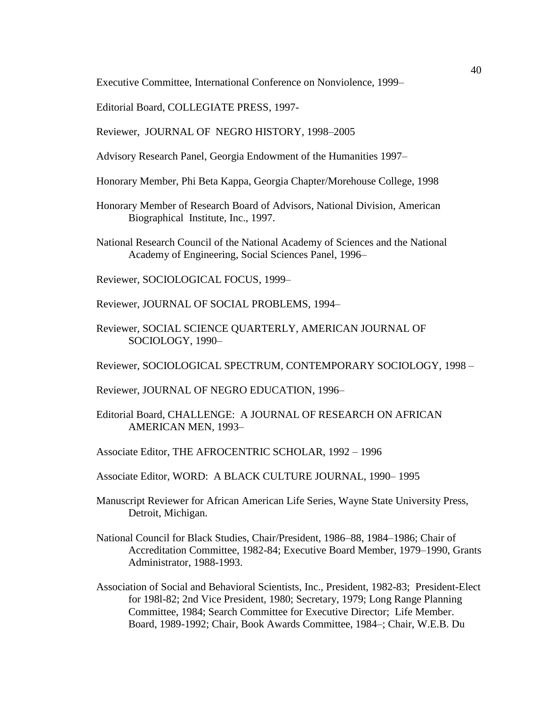Executive Committee, International Conference on Nonviolence, 1999–

Editorial Board, COLLEGIATE PRESS, 1997-

Reviewer, JOURNAL OF NEGRO HISTORY, 1998–2005

- Advisory Research Panel, Georgia Endowment of the Humanities 1997–
- Honorary Member, Phi Beta Kappa, Georgia Chapter/Morehouse College, 1998
- Honorary Member of Research Board of Advisors, National Division, American Biographical Institute, Inc., 1997.
- National Research Council of the National Academy of Sciences and the National Academy of Engineering, Social Sciences Panel, 1996–
- Reviewer, SOCIOLOGICAL FOCUS, 1999–
- Reviewer, JOURNAL OF SOCIAL PROBLEMS, 1994–
- Reviewer, SOCIAL SCIENCE QUARTERLY, AMERICAN JOURNAL OF SOCIOLOGY, 1990–

Reviewer, SOCIOLOGICAL SPECTRUM, CONTEMPORARY SOCIOLOGY, 1998 –

- Reviewer, JOURNAL OF NEGRO EDUCATION, 1996–
- Editorial Board, CHALLENGE: A JOURNAL OF RESEARCH ON AFRICAN AMERICAN MEN, 1993–
- Associate Editor, THE AFROCENTRIC SCHOLAR, 1992 1996
- Associate Editor, WORD: A BLACK CULTURE JOURNAL, 1990– 1995
- Manuscript Reviewer for African American Life Series, Wayne State University Press, Detroit, Michigan.
- National Council for Black Studies, Chair/President, 1986–88, 1984–1986; Chair of Accreditation Committee, 1982-84; Executive Board Member, 1979–1990, Grants Administrator, 1988-1993.
- Association of Social and Behavioral Scientists, Inc., President, 1982-83; President-Elect for 198l-82; 2nd Vice President, 1980; Secretary, 1979; Long Range Planning Committee, 1984; Search Committee for Executive Director; Life Member. Board, 1989-1992; Chair, Book Awards Committee, 1984–; Chair, W.E.B. Du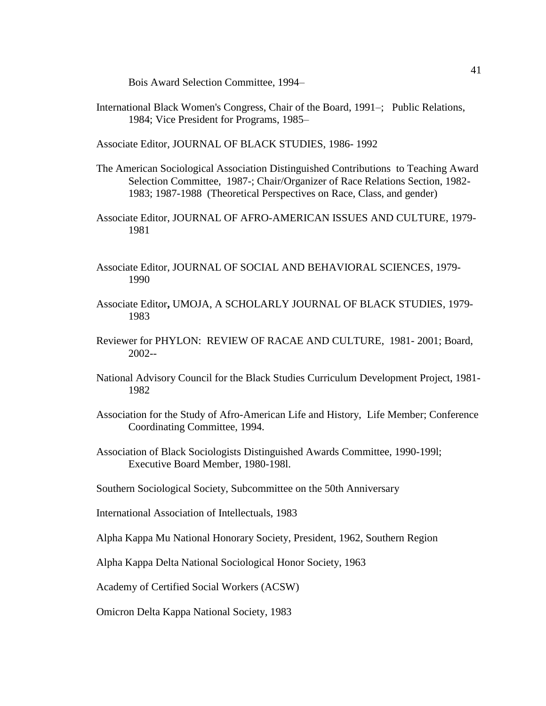Bois Award Selection Committee, 1994–

International Black Women's Congress, Chair of the Board, 1991–; Public Relations, 1984; Vice President for Programs, 1985–

Associate Editor, JOURNAL OF BLACK STUDIES, 1986- 1992

- The American Sociological Association Distinguished Contributions to Teaching Award Selection Committee, 1987-; Chair/Organizer of Race Relations Section, 1982- 1983; 1987-1988 (Theoretical Perspectives on Race, Class, and gender)
- Associate Editor, JOURNAL OF AFRO-AMERICAN ISSUES AND CULTURE, 1979- 1981
- Associate Editor, JOURNAL OF SOCIAL AND BEHAVIORAL SCIENCES, 1979- 1990
- Associate Editor**,** UMOJA, A SCHOLARLY JOURNAL OF BLACK STUDIES, 1979- 1983
- Reviewer for PHYLON: REVIEW OF RACAE AND CULTURE, 1981- 2001; Board, 2002--
- National Advisory Council for the Black Studies Curriculum Development Project, 1981- 1982
- Association for the Study of Afro-American Life and History, Life Member; Conference Coordinating Committee, 1994.
- Association of Black Sociologists Distinguished Awards Committee, 1990-199l; Executive Board Member, 1980-198l.
- Southern Sociological Society, Subcommittee on the 50th Anniversary

International Association of Intellectuals, 1983

Alpha Kappa Mu National Honorary Society, President, 1962, Southern Region

Alpha Kappa Delta National Sociological Honor Society, 1963

Academy of Certified Social Workers (ACSW)

Omicron Delta Kappa National Society, 1983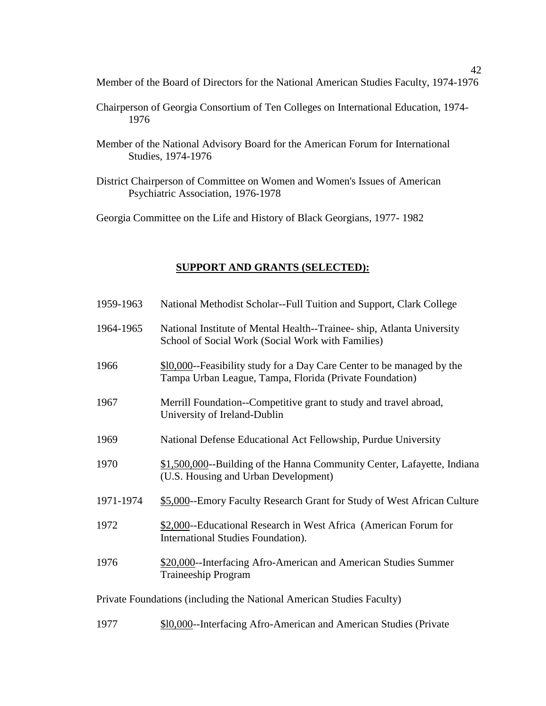Member of the Board of Directors for the National American Studies Faculty, 1974-1976

- Chairperson of Georgia Consortium of Ten Colleges on International Education, 1974- 1976
- Member of the National Advisory Board for the American Forum for International Studies, 1974-1976
- District Chairperson of Committee on Women and Women's Issues of American Psychiatric Association, 1976-1978

Georgia Committee on the Life and History of Black Georgians, 1977- 1982

## **SUPPORT AND GRANTS (SELECTED):**

| 1959-1963                                                             | National Methodist Scholar--Full Tuition and Support, Clark College                                                                 |  |
|-----------------------------------------------------------------------|-------------------------------------------------------------------------------------------------------------------------------------|--|
| 1964-1965                                                             | National Institute of Mental Health--Trainee-ship, Atlanta University<br>School of Social Work (Social Work with Families)          |  |
| 1966                                                                  | \$10,000 -- Feasibility study for a Day Care Center to be managed by the<br>Tampa Urban League, Tampa, Florida (Private Foundation) |  |
| 1967                                                                  | Merrill Foundation--Competitive grant to study and travel abroad,<br>University of Ireland-Dublin                                   |  |
| 1969                                                                  | National Defense Educational Act Fellowship, Purdue University                                                                      |  |
| 1970                                                                  | \$1,500,000 -- Building of the Hanna Community Center, Lafayette, Indiana<br>(U.S. Housing and Urban Development)                   |  |
| 1971-1974                                                             | \$5,000 -- Emory Faculty Research Grant for Study of West African Culture                                                           |  |
| 1972                                                                  | \$2,000 -- Educational Research in West Africa (American Forum for<br>International Studies Foundation).                            |  |
| 1976                                                                  | \$20,000--Interfacing Afro-American and American Studies Summer<br>Traineeship Program                                              |  |
| Private Foundations (including the National American Studies Faculty) |                                                                                                                                     |  |
| 1977                                                                  | \$10,000--Interfacing Afro-American and American Studies (Private                                                                   |  |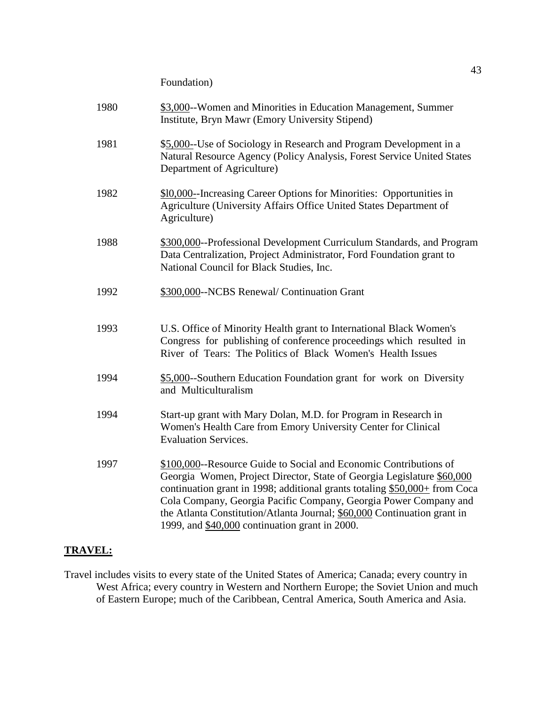Foundation)

| 1980 | \$3,000--Women and Minorities in Education Management, Summer<br>Institute, Bryn Mawr (Emory University Stipend)                                                                                                                                                                                                                                                                                                             |
|------|------------------------------------------------------------------------------------------------------------------------------------------------------------------------------------------------------------------------------------------------------------------------------------------------------------------------------------------------------------------------------------------------------------------------------|
| 1981 | \$5,000--Use of Sociology in Research and Program Development in a<br>Natural Resource Agency (Policy Analysis, Forest Service United States<br>Department of Agriculture)                                                                                                                                                                                                                                                   |
| 1982 | \$10,000-Increasing Career Options for Minorities: Opportunities in<br>Agriculture (University Affairs Office United States Department of<br>Agriculture)                                                                                                                                                                                                                                                                    |
| 1988 | \$300,000 -- Professional Development Curriculum Standards, and Program<br>Data Centralization, Project Administrator, Ford Foundation grant to<br>National Council for Black Studies, Inc.                                                                                                                                                                                                                                  |
| 1992 | \$300,000--NCBS Renewal/ Continuation Grant                                                                                                                                                                                                                                                                                                                                                                                  |
| 1993 | U.S. Office of Minority Health grant to International Black Women's<br>Congress for publishing of conference proceedings which resulted in<br>River of Tears: The Politics of Black Women's Health Issues                                                                                                                                                                                                                    |
| 1994 | \$5,000-Southern Education Foundation grant for work on Diversity<br>and Multiculturalism                                                                                                                                                                                                                                                                                                                                    |
| 1994 | Start-up grant with Mary Dolan, M.D. for Program in Research in<br>Women's Health Care from Emory University Center for Clinical<br><b>Evaluation Services.</b>                                                                                                                                                                                                                                                              |
| 1997 | \$100,000--Resource Guide to Social and Economic Contributions of<br>Georgia Women, Project Director, State of Georgia Legislature \$60,000<br>continuation grant in 1998; additional grants totaling $$50,000+$ from Coca<br>Cola Company, Georgia Pacific Company, Georgia Power Company and<br>the Atlanta Constitution/Atlanta Journal; \$60,000 Continuation grant in<br>1999, and \$40,000 continuation grant in 2000. |

## **TRAVEL:**

Travel includes visits to every state of the United States of America; Canada; every country in West Africa; every country in Western and Northern Europe; the Soviet Union and much of Eastern Europe; much of the Caribbean, Central America, South America and Asia.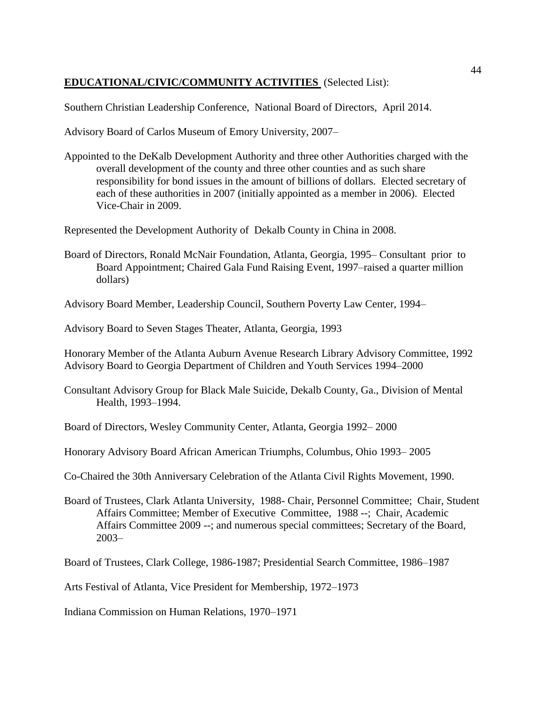## **EDUCATIONAL/CIVIC/COMMUNITY ACTIVITIES** (Selected List):

Southern Christian Leadership Conference, National Board of Directors, April 2014.

Advisory Board of Carlos Museum of Emory University, 2007–

Appointed to the DeKalb Development Authority and three other Authorities charged with the overall development of the county and three other counties and as such share responsibility for bond issues in the amount of billions of dollars. Elected secretary of each of these authorities in 2007 (initially appointed as a member in 2006). Elected Vice-Chair in 2009.

Represented the Development Authority of Dekalb County in China in 2008.

Board of Directors, Ronald McNair Foundation, Atlanta, Georgia, 1995– Consultant prior to Board Appointment; Chaired Gala Fund Raising Event, 1997–raised a quarter million dollars)

Advisory Board Member, Leadership Council, Southern Poverty Law Center, 1994–

Advisory Board to Seven Stages Theater, Atlanta, Georgia, 1993

Honorary Member of the Atlanta Auburn Avenue Research Library Advisory Committee, 1992 Advisory Board to Georgia Department of Children and Youth Services 1994–2000

Consultant Advisory Group for Black Male Suicide, Dekalb County, Ga., Division of Mental Health, 1993–1994.

Board of Directors, Wesley Community Center, Atlanta, Georgia 1992– 2000

Honorary Advisory Board African American Triumphs, Columbus, Ohio 1993– 2005

Co-Chaired the 30th Anniversary Celebration of the Atlanta Civil Rights Movement, 1990.

Board of Trustees, Clark Atlanta University, 1988- Chair, Personnel Committee; Chair, Student Affairs Committee; Member of Executive Committee, 1988 --; Chair, Academic Affairs Committee 2009 --; and numerous special committees; Secretary of the Board, 2003–

Board of Trustees, Clark College, 1986-1987; Presidential Search Committee, 1986–1987

Arts Festival of Atlanta, Vice President for Membership, 1972–1973

Indiana Commission on Human Relations, 1970–1971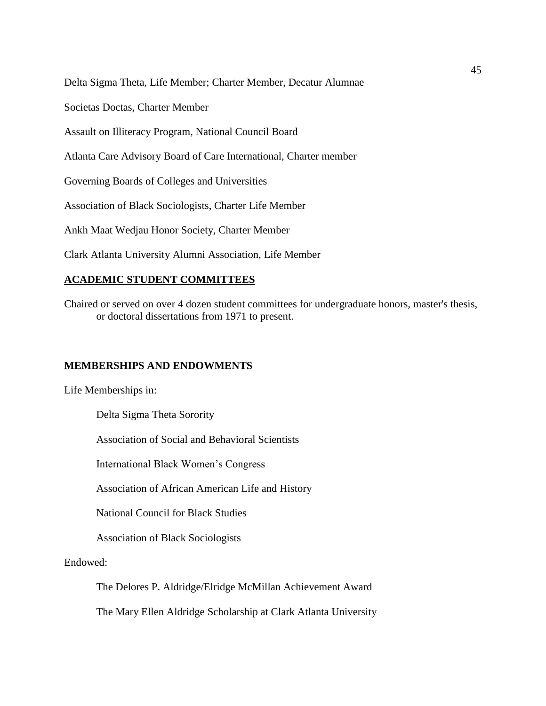Delta Sigma Theta, Life Member; Charter Member, Decatur Alumnae

Societas Doctas, Charter Member

Assault on Illiteracy Program, National Council Board

Atlanta Care Advisory Board of Care International, Charter member

Governing Boards of Colleges and Universities

Association of Black Sociologists, Charter Life Member

Ankh Maat Wedjau Honor Society, Charter Member

Clark Atlanta University Alumni Association, Life Member

## **ACADEMIC STUDENT COMMITTEES**

Chaired or served on over 4 dozen student committees for undergraduate honors, master's thesis, or doctoral dissertations from 1971 to present.

#### **MEMBERSHIPS AND ENDOWMENTS**

Life Memberships in:

Delta Sigma Theta Sorority

Association of Social and Behavioral Scientists

International Black Women's Congress

Association of African American Life and History

National Council for Black Studies

Association of Black Sociologists

Endowed:

The Delores P. Aldridge/Elridge McMillan Achievement Award

The Mary Ellen Aldridge Scholarship at Clark Atlanta University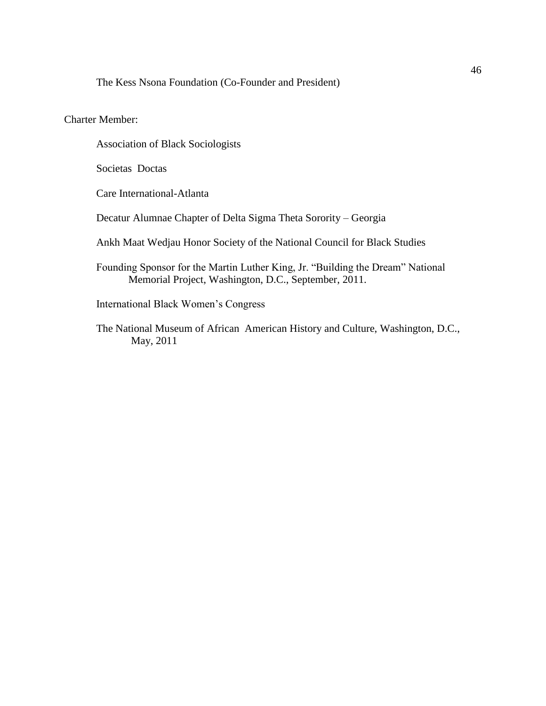The Kess Nsona Foundation (Co-Founder and President)

## Charter Member:

Association of Black Sociologists

Societas Doctas

Care International-Atlanta

Decatur Alumnae Chapter of Delta Sigma Theta Sorority – Georgia

Ankh Maat Wedjau Honor Society of the National Council for Black Studies

Founding Sponsor for the Martin Luther King, Jr. "Building the Dream" National Memorial Project, Washington, D.C., September, 2011.

International Black Women's Congress

 The National Museum of African American History and Culture, Washington, D.C., May, 2011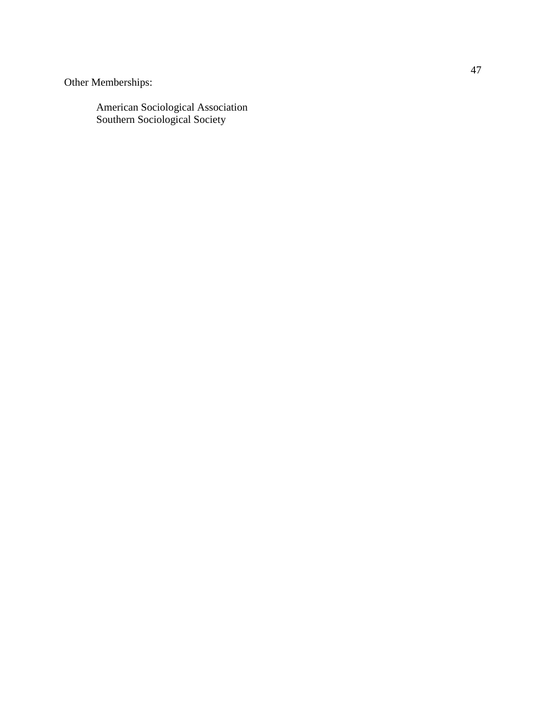Other Memberships:

American Sociological Association Southern Sociological Society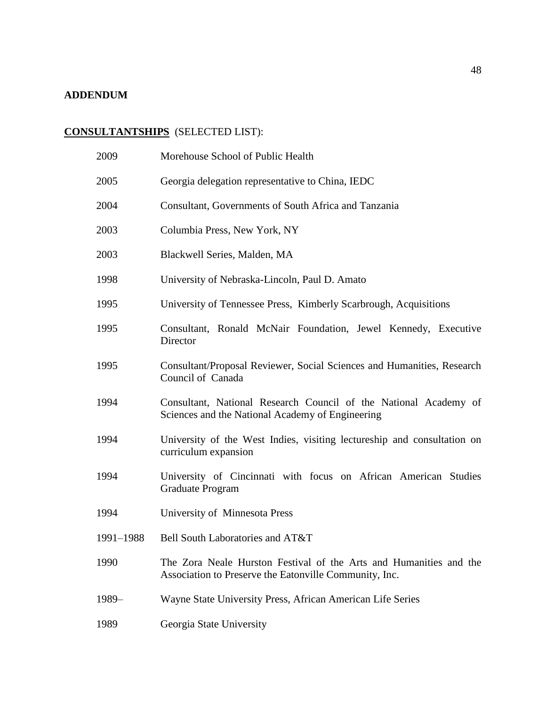## **ADDENDUM**

# **CONSULTANTSHIPS** (SELECTED LIST):

| 2009      | Morehouse School of Public Health                                                                                            |
|-----------|------------------------------------------------------------------------------------------------------------------------------|
| 2005      | Georgia delegation representative to China, IEDC                                                                             |
| 2004      | Consultant, Governments of South Africa and Tanzania                                                                         |
| 2003      | Columbia Press, New York, NY                                                                                                 |
| 2003      | Blackwell Series, Malden, MA                                                                                                 |
| 1998      | University of Nebraska-Lincoln, Paul D. Amato                                                                                |
| 1995      | University of Tennessee Press, Kimberly Scarbrough, Acquisitions                                                             |
| 1995      | Consultant, Ronald McNair Foundation, Jewel Kennedy, Executive<br>Director                                                   |
| 1995      | Consultant/Proposal Reviewer, Social Sciences and Humanities, Research<br>Council of Canada                                  |
| 1994      | Consultant, National Research Council of the National Academy of<br>Sciences and the National Academy of Engineering         |
| 1994      | University of the West Indies, visiting lectureship and consultation on<br>curriculum expansion                              |
| 1994      | University of Cincinnati with focus on African American Studies<br>Graduate Program                                          |
| 1994      | University of Minnesota Press                                                                                                |
| 1991-1988 | Bell South Laboratories and AT&T                                                                                             |
| 1990      | The Zora Neale Hurston Festival of the Arts and Humanities and the<br>Association to Preserve the Eatonville Community, Inc. |
| $1989-$   | Wayne State University Press, African American Life Series                                                                   |
| 1989      | Georgia State University                                                                                                     |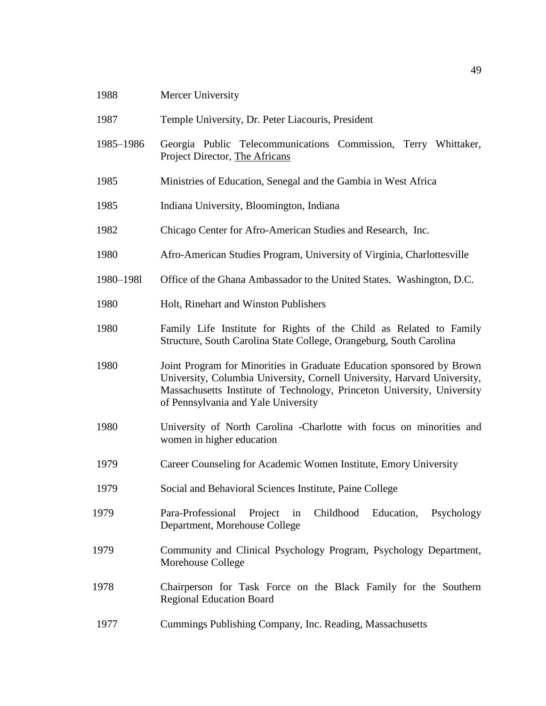| 1988      | Mercer University                                                                                                                                                                                                                                                   |
|-----------|---------------------------------------------------------------------------------------------------------------------------------------------------------------------------------------------------------------------------------------------------------------------|
| 1987      | Temple University, Dr. Peter Liacouris, President                                                                                                                                                                                                                   |
| 1985-1986 | Georgia Public Telecommunications Commission, Terry Whittaker,<br>Project Director, The Africans                                                                                                                                                                    |
| 1985      | Ministries of Education, Senegal and the Gambia in West Africa                                                                                                                                                                                                      |
| 1985      | Indiana University, Bloomington, Indiana                                                                                                                                                                                                                            |
| 1982      | Chicago Center for Afro-American Studies and Research, Inc.                                                                                                                                                                                                         |
| 1980      | Afro-American Studies Program, University of Virginia, Charlottesville                                                                                                                                                                                              |
| 1980-1981 | Office of the Ghana Ambassador to the United States. Washington, D.C.                                                                                                                                                                                               |
| 1980      | Holt, Rinehart and Winston Publishers                                                                                                                                                                                                                               |
| 1980      | Family Life Institute for Rights of the Child as Related to Family<br>Structure, South Carolina State College, Orangeburg, South Carolina                                                                                                                           |
| 1980      | Joint Program for Minorities in Graduate Education sponsored by Brown<br>University, Columbia University, Cornell University, Harvard University,<br>Massachusetts Institute of Technology, Princeton University, University<br>of Pennsylvania and Yale University |
| 1980      | University of North Carolina - Charlotte with focus on minorities and<br>women in higher education                                                                                                                                                                  |
| 1979      | Career Counseling for Academic Women Institute, Emory University                                                                                                                                                                                                    |
| 1979      | Social and Behavioral Sciences Institute, Paine College                                                                                                                                                                                                             |
| 1979      | Para-Professional<br>Project<br>Childhood Education, Psychology<br>in<br>Department, Morehouse College                                                                                                                                                              |
| 1979      | Community and Clinical Psychology Program, Psychology Department,<br>Morehouse College                                                                                                                                                                              |
| 1978      | Chairperson for Task Force on the Black Family for the Southern<br><b>Regional Education Board</b>                                                                                                                                                                  |
| 1977      | Cummings Publishing Company, Inc. Reading, Massachusetts                                                                                                                                                                                                            |
|           |                                                                                                                                                                                                                                                                     |